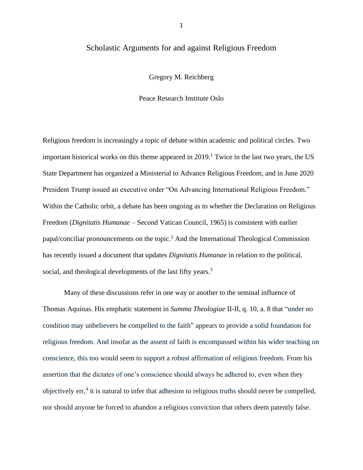# Scholastic Arguments for and against Religious Freedom

Gregory M. Reichberg

Peace Research Institute Oslo

Religious freedom is increasingly a topic of debate within academic and political circles. Two important historical works on this theme appeared in  $2019<sup>1</sup>$  Twice in the last two years, the US State Department has organized a Ministerial to Advance Religious Freedom, and in June 2020 President Trump issued an executive order "On Advancing International Religious Freedom." Within the Catholic orbit, a debate has been ongoing as to whether the Declaration on Religious Freedom (*Dignitatis Humanae* – Second Vatican Council, 1965) is consistent with earlier papal/conciliar pronouncements on the topic.<sup>2</sup> And the International Theological Commission has recently issued a document that updates *Dignitatis Humanae* in relation to the political, social, and theological developments of the last fifty years.<sup>3</sup>

Many of these discussions refer in one way or another to the seminal influence of Thomas Aquinas. His emphatic statement in *Summa Theologiae* II-II, q. 10, a. 8 that "under no condition may unbelievers be compelled to the faith" appears to provide a solid foundation for religious freedom. And insofar as the assent of faith is encompassed within his wider teaching on conscience, this too would seem to support a robust affirmation of religious freedom. From his assertion that the dictates of one's conscience should always be adhered to, even when they objectively err, 4 it is natural to infer that adhesion to religious truths should never be compelled, nor should anyone be forced to abandon a religious conviction that others deem patently false.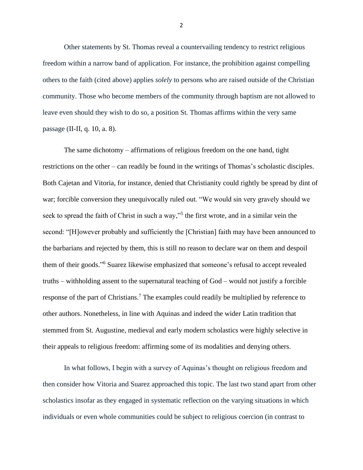Other statements by St. Thomas reveal a countervailing tendency to restrict religious freedom within a narrow band of application. For instance, the prohibition against compelling others to the faith (cited above) applies *solely* to persons who are raised outside of the Christian community. Those who become members of the community through baptism are not allowed to leave even should they wish to do so, a position St. Thomas affirms within the very same passage (II-II, q. 10, a. 8).

The same dichotomy – affirmations of religious freedom on the one hand, tight restrictions on the other – can readily be found in the writings of Thomas's scholastic disciples. Both Cajetan and Vitoria, for instance, denied that Christianity could rightly be spread by dint of war; forcible conversion they unequivocally ruled out. "We would sin very gravely should we seek to spread the faith of Christ in such a way,"<sup>5</sup> the first wrote, and in a similar vein the second: "[H]owever probably and sufficiently the [Christian] faith may have been announced to the barbarians and rejected by them, this is still no reason to declare war on them and despoil them of their goods." <sup>6</sup> Suarez likewise emphasized that someone's refusal to accept revealed truths – withholding assent to the supernatural teaching of God – would not justify a forcible response of the part of Christians.<sup>7</sup> The examples could readily be multiplied by reference to other authors. Nonetheless, in line with Aquinas and indeed the wider Latin tradition that stemmed from St. Augustine, medieval and early modern scholastics were highly selective in their appeals to religious freedom: affirming some of its modalities and denying others.

In what follows, I begin with a survey of Aquinas's thought on religious freedom and then consider how Vitoria and Suarez approached this topic. The last two stand apart from other scholastics insofar as they engaged in systematic reflection on the varying situations in which individuals or even whole communities could be subject to religious coercion (in contrast to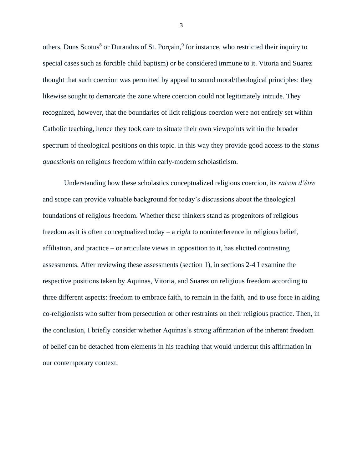others, Duns Scotus<sup>8</sup> or Durandus of St. Porçain,<sup>9</sup> for instance, who restricted their inquiry to special cases such as forcible child baptism) or be considered immune to it. Vitoria and Suarez thought that such coercion was permitted by appeal to sound moral/theological principles: they likewise sought to demarcate the zone where coercion could not legitimately intrude. They recognized, however, that the boundaries of licit religious coercion were not entirely set within Catholic teaching, hence they took care to situate their own viewpoints within the broader spectrum of theological positions on this topic. In this way they provide good access to the *status quaestionis* on religious freedom within early-modern scholasticism.

Understanding how these scholastics conceptualized religious coercion, its *raison d'être* and scope can provide valuable background for today's discussions about the theological foundations of religious freedom. Whether these thinkers stand as progenitors of religious freedom as it is often conceptualized today – a *right* to noninterference in religious belief, affiliation, and practice – or articulate views in opposition to it, has elicited contrasting assessments. After reviewing these assessments (section 1), in sections 2-4 I examine the respective positions taken by Aquinas, Vitoria, and Suarez on religious freedom according to three different aspects: freedom to embrace faith, to remain in the faith, and to use force in aiding co-religionists who suffer from persecution or other restraints on their religious practice. Then, in the conclusion, I briefly consider whether Aquinas's strong affirmation of the inherent freedom of belief can be detached from elements in his teaching that would undercut this affirmation in our contemporary context.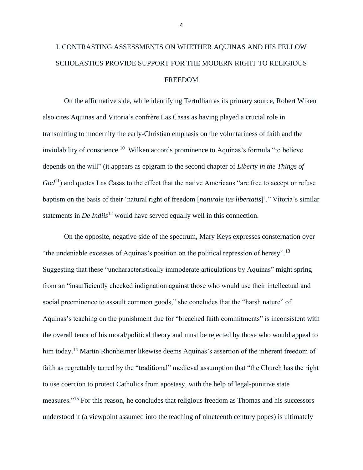# I. CONTRASTING ASSESSMENTS ON WHETHER AQUINAS AND HIS FELLOW SCHOLASTICS PROVIDE SUPPORT FOR THE MODERN RIGHT TO RELIGIOUS FREEDOM

On the affirmative side, while identifying Tertullian as its primary source, Robert Wiken also cites Aquinas and Vitoria's confrère Las Casas as having played a crucial role in transmitting to modernity the early-Christian emphasis on the voluntariness of faith and the inviolability of conscience. <sup>10</sup> Wilken accords prominence to Aquinas's formula "to believe depends on the will" (it appears as epigram to the second chapter of *Liberty in the Things of*   $God<sup>11</sup>$  and quotes Las Casas to the effect that the native Americans "are free to accept or refuse baptism on the basis of their 'natural right of freedom [*naturale ius libertatis*]'." Vitoria's similar statements in *De Indiis*<sup>12</sup> would have served equally well in this connection.

On the opposite, negative side of the spectrum, Mary Keys expresses consternation over "the undeniable excesses of Aquinas's position on the political repression of heresy".<sup>13</sup> Suggesting that these "uncharacteristically immoderate articulations by Aquinas" might spring from an "insufficiently checked indignation against those who would use their intellectual and social preeminence to assault common goods," she concludes that the "harsh nature" of Aquinas's teaching on the punishment due for "breached faith commitments" is inconsistent with the overall tenor of his moral/political theory and must be rejected by those who would appeal to him today.<sup>14</sup> Martin Rhonheimer likewise deems Aquinas's assertion of the inherent freedom of faith as regrettably tarred by the "traditional" medieval assumption that "the Church has the right to use coercion to protect Catholics from apostasy, with the help of legal-punitive state measures."<sup>15</sup> For this reason, he concludes that religious freedom as Thomas and his successors understood it (a viewpoint assumed into the teaching of nineteenth century popes) is ultimately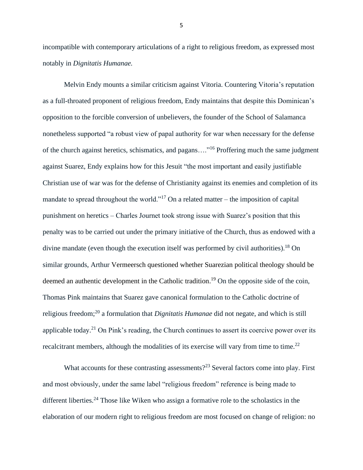incompatible with contemporary articulations of a right to religious freedom, as expressed most notably in *Dignitatis Humanae.*

Melvin Endy mounts a similar criticism against Vitoria. Countering Vitoria's reputation as a full-throated proponent of religious freedom, Endy maintains that despite this Dominican's opposition to the forcible conversion of unbelievers, the founder of the School of Salamanca nonetheless supported "a robust view of papal authority for war when necessary for the defense of the church against heretics, schismatics, and pagans...."<sup>16</sup> Proffering much the same judgment against Suarez, Endy explains how for this Jesuit "the most important and easily justifiable Christian use of war was for the defense of Christianity against its enemies and completion of its mandate to spread throughout the world."<sup>17</sup> On a related matter – the imposition of capital punishment on heretics – Charles Journet took strong issue with Suarez's position that this penalty was to be carried out under the primary initiative of the Church, thus as endowed with a divine mandate (even though the execution itself was performed by civil authorities).<sup>18</sup> On similar grounds, Arthur Vermeersch questioned whether Suarezian political theology should be deemed an authentic development in the Catholic tradition.<sup>19</sup> On the opposite side of the coin, Thomas Pink maintains that Suarez gave canonical formulation to the Catholic doctrine of religious freedom;<sup>20</sup> a formulation that *Dignitatis Humanae* did not negate, and which is still applicable today.<sup>21</sup> On Pink's reading, the Church continues to assert its coercive power over its recalcitrant members, although the modalities of its exercise will vary from time to time.<sup>22</sup>

What accounts for these contrasting assessments?<sup>23</sup> Several factors come into play. First and most obviously, under the same label "religious freedom" reference is being made to different liberties.<sup>24</sup> Those like Wiken who assign a formative role to the scholastics in the elaboration of our modern right to religious freedom are most focused on change of religion: no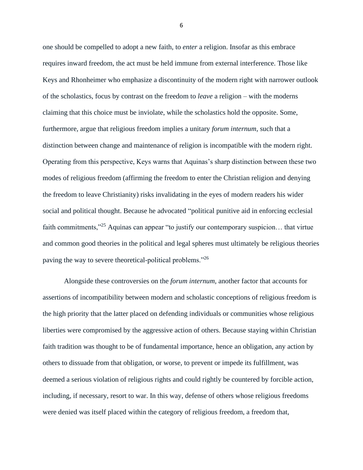one should be compelled to adopt a new faith, to *enter* a religion. Insofar as this embrace requires inward freedom, the act must be held immune from external interference. Those like Keys and Rhonheimer who emphasize a discontinuity of the modern right with narrower outlook of the scholastics, focus by contrast on the freedom to *leave* a religion – with the moderns claiming that this choice must be inviolate, while the scholastics hold the opposite. Some, furthermore, argue that religious freedom implies a unitary *forum internum*, such that a distinction between change and maintenance of religion is incompatible with the modern right. Operating from this perspective, Keys warns that Aquinas's sharp distinction between these two modes of religious freedom (affirming the freedom to enter the Christian religion and denying the freedom to leave Christianity) risks invalidating in the eyes of modern readers his wider social and political thought. Because he advocated "political punitive aid in enforcing ecclesial faith commitments,<sup>"25</sup> Aquinas can appear "to justify our contemporary suspicion... that virtue and common good theories in the political and legal spheres must ultimately be religious theories paving the way to severe theoretical-political problems."<sup>26</sup>

Alongside these controversies on the *forum internum*, another factor that accounts for assertions of incompatibility between modern and scholastic conceptions of religious freedom is the high priority that the latter placed on defending individuals or communities whose religious liberties were compromised by the aggressive action of others. Because staying within Christian faith tradition was thought to be of fundamental importance, hence an obligation, any action by others to dissuade from that obligation, or worse, to prevent or impede its fulfillment, was deemed a serious violation of religious rights and could rightly be countered by forcible action, including, if necessary, resort to war. In this way, defense of others whose religious freedoms were denied was itself placed within the category of religious freedom, a freedom that,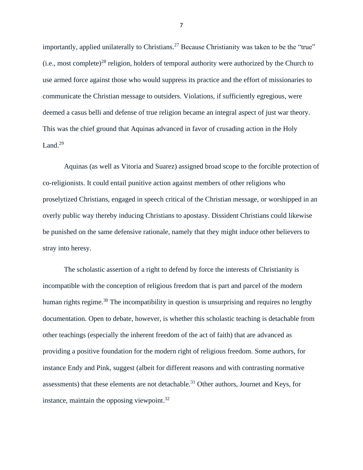importantly, applied unilaterally to Christians.<sup>27</sup> Because Christianity was taken to be the "true" (i.e., most complete)<sup>28</sup> religion, holders of temporal authority were authorized by the Church to use armed force against those who would suppress its practice and the effort of missionaries to communicate the Christian message to outsiders. Violations, if sufficiently egregious, were deemed a casus belli and defense of true religion became an integral aspect of just war theory. This was the chief ground that Aquinas advanced in favor of crusading action in the Holy Land. $29$ 

Aquinas (as well as Vitoria and Suarez) assigned broad scope to the forcible protection of co-religionists. It could entail punitive action against members of other religions who proselytized Christians, engaged in speech critical of the Christian message, or worshipped in an overly public way thereby inducing Christians to apostasy. Dissident Christians could likewise be punished on the same defensive rationale, namely that they might induce other believers to stray into heresy.

The scholastic assertion of a right to defend by force the interests of Christianity is incompatible with the conception of religious freedom that is part and parcel of the modern human rights regime.<sup>30</sup> The incompatibility in question is unsurprising and requires no lengthy documentation. Open to debate, however, is whether this scholastic teaching is detachable from other teachings (especially the inherent freedom of the act of faith) that are advanced as providing a positive foundation for the modern right of religious freedom. Some authors, for instance Endy and Pink, suggest (albeit for different reasons and with contrasting normative assessments) that these elements are not detachable.<sup>31</sup> Other authors, Journet and Keys, for instance, maintain the opposing viewpoint. $32$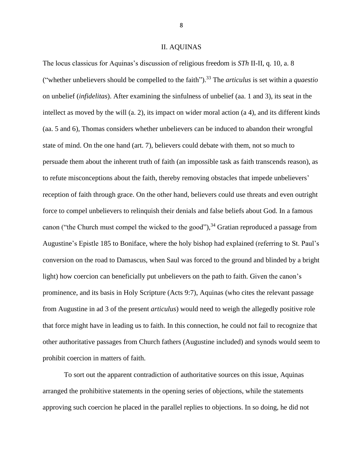#### II. AQUINAS

The locus classicus for Aquinas's discussion of religious freedom is *STh* II-II, q. 10, a. 8 ("whether unbelievers should be compelled to the faith"). <sup>33</sup> The *articulus* is set within a *quaestio*  on unbelief (*infidelitas*). After examining the sinfulness of unbelief (aa. 1 and 3), its seat in the intellect as moved by the will (a. 2), its impact on wider moral action (a 4), and its different kinds (aa. 5 and 6), Thomas considers whether unbelievers can be induced to abandon their wrongful state of mind. On the one hand (art. 7), believers could debate with them, not so much to persuade them about the inherent truth of faith (an impossible task as faith transcends reason), as to refute misconceptions about the faith, thereby removing obstacles that impede unbelievers' reception of faith through grace. On the other hand, believers could use threats and even outright force to compel unbelievers to relinquish their denials and false beliefs about God. In a famous canon ("the Church must compel the wicked to the good"),<sup>34</sup> Gratian reproduced a passage from Augustine's Epistle 185 to Boniface, where the holy bishop had explained (referring to St. Paul's conversion on the road to Damascus, when Saul was forced to the ground and blinded by a bright light) how coercion can beneficially put unbelievers on the path to faith. Given the canon's prominence, and its basis in Holy Scripture (Acts 9:7), Aquinas (who cites the relevant passage from Augustine in ad 3 of the present *articulus*) would need to weigh the allegedly positive role that force might have in leading us to faith. In this connection, he could not fail to recognize that other authoritative passages from Church fathers (Augustine included) and synods would seem to prohibit coercion in matters of faith.

To sort out the apparent contradiction of authoritative sources on this issue, Aquinas arranged the prohibitive statements in the opening series of objections, while the statements approving such coercion he placed in the parallel replies to objections. In so doing, he did not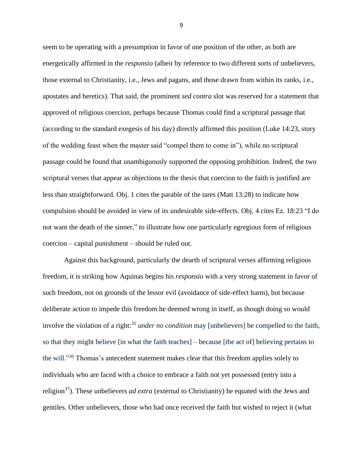seem to be operating with a presumption in favor of one position of the other, as both are energetically affirmed in the *responsio* (albeit by reference to two different sorts of unbelievers, those external to Christianity, i.e., Jews and pagans, and those drawn from within its ranks, i.e., apostates and heretics). That said, the prominent *sed contra* slot was reserved for a statement that approved of religious coercion, perhaps because Thomas could find a scriptural passage that (according to the standard exegesis of his day) directly affirmed this position (Luke 14:23, story of the wedding feast when the master said "compel them to come in"), while no scriptural passage could be found that unambiguously supported the opposing prohibition. Indeed, the two scriptural verses that appear as objections to the thesis that coercion to the faith is justified are less than straightforward. Obj. 1 cites the parable of the tares (Matt 13:28) to indicate how compulsion should be avoided in view of its undesirable side-effects. Obj. 4 cites Ez. 18:23 "I do not want the death of the sinner," to illustrate how one particularly egregious form of religious coercion – capital punishment – should be ruled out.

Against this background, particularly the dearth of scriptural verses affirming religious freedom, it is striking how Aquinas begins his *responsio* with a very strong statement in favor of such freedom, not on grounds of the lessor evil (avoidance of side-effect harm), but because deliberate action to impede this freedom he deemed wrong in itself, as though doing so would involve the violation of a right: <sup>35</sup> *under no condition* may [unbelievers] be compelled to the faith, so that they might believe [in what the faith teaches] – because [the act of] believing pertains to the will."<sup>36</sup> Thomas's antecedent statement makes clear that this freedom applies solely to individuals who are faced with a choice to embrace a faith not yet possessed (entry into a religion<sup>37</sup>). These unbelievers *ad extra* (external to Christianity) he equated with the Jews and gentiles. Other unbelievers, those who had once received the faith but wished to reject it (what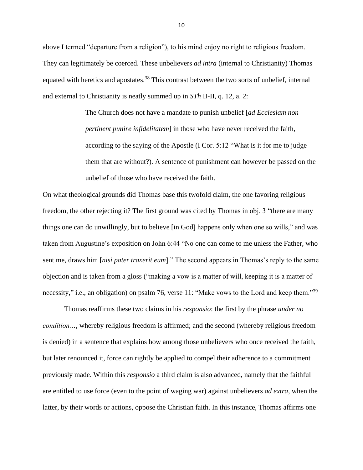above I termed "departure from a religion"), to his mind enjoy no right to religious freedom. They can legitimately be coerced. These unbelievers *ad intra* (internal to Christianity) Thomas equated with heretics and apostates.<sup>38</sup> This contrast between the two sorts of unbelief, internal and external to Christianity is neatly summed up in *STh* II-II, q. 12, a. 2:

> The Church does not have a mandate to punish unbelief [*ad Ecclesiam non pertinent punire infidelitatem*] in those who have never received the faith, according to the saying of the Apostle (I Cor. 5:12 "What is it for me to judge them that are without?). A sentence of punishment can however be passed on the unbelief of those who have received the faith.

On what theological grounds did Thomas base this twofold claim, the one favoring religious freedom, the other rejecting it? The first ground was cited by Thomas in obj. 3 "there are many things one can do unwillingly, but to believe [in God] happens only when one so wills," and was taken from Augustine's exposition on John 6:44 "No one can come to me unless the Father, who sent me, draws him [*nisi pater traxerit eum*]." The second appears in Thomas's reply to the same objection and is taken from a gloss ("making a vow is a matter of will, keeping it is a matter of necessity," i.e., an obligation) on psalm 76, verse 11: "Make vows to the Lord and keep them."<sup>39</sup>

Thomas reaffirms these two claims in his *responsio*: the first by the phrase *under no condition…*, whereby religious freedom is affirmed; and the second (whereby religious freedom is denied) in a sentence that explains how among those unbelievers who once received the faith, but later renounced it, force can rightly be applied to compel their adherence to a commitment previously made. Within this *responsio* a third claim is also advanced, namely that the faithful are entitled to use force (even to the point of waging war) against unbelievers *ad extra*, when the latter, by their words or actions, oppose the Christian faith. In this instance, Thomas affirms one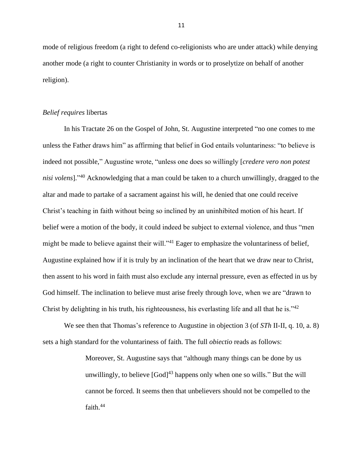mode of religious freedom (a right to defend co-religionists who are under attack) while denying another mode (a right to counter Christianity in words or to proselytize on behalf of another religion).

#### *Belief requires* libertas

In his Tractate 26 on the Gospel of John, St. Augustine interpreted "no one comes to me unless the Father draws him" as affirming that belief in God entails voluntariness: "to believe is indeed not possible," Augustine wrote, "unless one does so willingly [*credere vero non potest nisi volens*]." <sup>40</sup> Acknowledging that a man could be taken to a church unwillingly, dragged to the altar and made to partake of a sacrament against his will, he denied that one could receive Christ's teaching in faith without being so inclined by an uninhibited motion of his heart. If belief were a motion of the body, it could indeed be subject to external violence, and thus "men might be made to believe against their will."<sup>41</sup> Eager to emphasize the voluntariness of belief, Augustine explained how if it is truly by an inclination of the heart that we draw near to Christ, then assent to his word in faith must also exclude any internal pressure, even as effected in us by God himself. The inclination to believe must arise freely through love, when we are "drawn to Christ by delighting in his truth, his righteousness, his everlasting life and all that he is."<sup>42</sup>

We see then that Thomas's reference to Augustine in objection 3 (of *STh* II-II, q. 10, a. 8) sets a high standard for the voluntariness of faith. The full *obiectio* reads as follows:

> Moreover, St. Augustine says that "although many things can be done by us unwillingly, to believe  $[God]^{43}$  happens only when one so wills." But the will cannot be forced. It seems then that unbelievers should not be compelled to the faith.<sup>44</sup>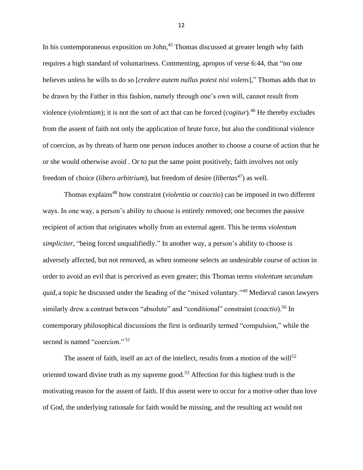In his contemporaneous exposition on John,<sup>45</sup> Thomas discussed at greater length why faith requires a high standard of voluntariness. Commenting, apropos of verse 6:44, that "no one believes unless he wills to do so [*credere autem nullus potest nisi volens*]," Thomas adds that to be drawn by the Father in this fashion, namely through one's own will, cannot result from violence (*violentiam*); it is not the sort of act that can be forced (*cogitur*).<sup>46</sup> He thereby excludes from the assent of faith not only the application of brute force, but also the conditional violence of coercion, as by threats of harm one person induces another to choose a course of action that he or she would otherwise avoid . Or to put the same point positively, faith involves not only freedom of choice (*libero arbitrium*), but freedom of desire (*libertas*<sup>47</sup>) as well.

Thomas explains <sup>48</sup> how constraint (*violentia* or *coactio*) can be imposed in two different ways. In one way, a person's ability to choose is entirely removed; one becomes the passive recipient of action that originates wholly from an external agent. This he terms *violentum simpliciter*, "being forced unqualifiedly." In another way, a person's ability to choose is adversely affected, but not removed, as when someone selects an undesirable course of action in order to avoid an evil that is perceived as even greater; this Thomas terms *violentum secundum quid*, a topic he discussed under the heading of the "mixed voluntary."<sup>49</sup> Medieval canon lawyers similarly drew a contrast between "absolute" and "conditional" constraint (*coactio*).<sup>50</sup> In contemporary philosophical discussions the first is ordinarily termed "compulsion," while the second is named "coercion."<sup>51</sup>

The assent of faith, itself an act of the intellect, results from a motion of the will<sup>52</sup> oriented toward divine truth as my supreme good.<sup>53</sup> Affection for this highest truth is the motivating reason for the assent of faith. If this assent were to occur for a motive other than love of God, the underlying rationale for faith would be missing, and the resulting act would not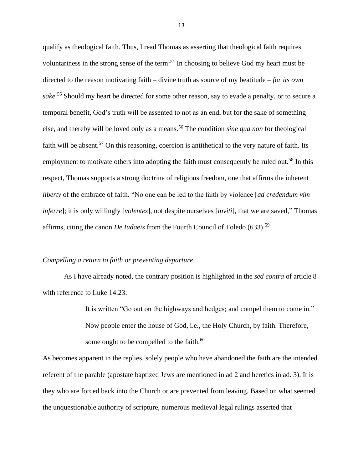qualify as theological faith. Thus, I read Thomas as asserting that theological faith requires voluntariness in the strong sense of the term: <sup>54</sup> In choosing to believe God my heart must be directed to the reason motivating faith – divine truth as source of my beatitude – *for its own sake*. <sup>55</sup> Should my heart be directed for some other reason, say to evade a penalty, or to secure a temporal benefit, God's truth will be assented to not as an end, but for the sake of something else, and thereby will be loved only as a means.<sup>56</sup> The condition *sine qua non* for theological faith will be absent.<sup>57</sup> On this reasoning, coercion is antithetical to the very nature of faith. Its employment to motivate others into adopting the faith must consequently be ruled out.<sup>58</sup> In this respect, Thomas supports a strong doctrine of religious freedom, one that affirms the inherent *liberty* of the embrace of faith. "No one can be led to the faith by violence [*ad credendum vim inferre*]; it is only willingly [*volentes*], not despite ourselves [*inviti*], that we are saved," Thomas affirms, citing the canon *De Iudaeis* from the Fourth Council of Toledo (633). 59

# *Compelling a return to faith or preventing departure*

As I have already noted, the contrary position is highlighted in the *sed contra* of article 8 with reference to Luke 14:23:

> It is written "Go out on the highways and hedges; and compel them to come in." Now people enter the house of God, i.e., the Holy Church, by faith. Therefore, some ought to be compelled to the faith.<sup>60</sup>

As becomes apparent in the replies, solely people who have abandoned the faith are the intended referent of the parable (apostate baptized Jews are mentioned in ad 2 and heretics in ad. 3). It is they who are forced back into the Church or are prevented from leaving. Based on what seemed the unquestionable authority of scripture, numerous medieval legal rulings asserted that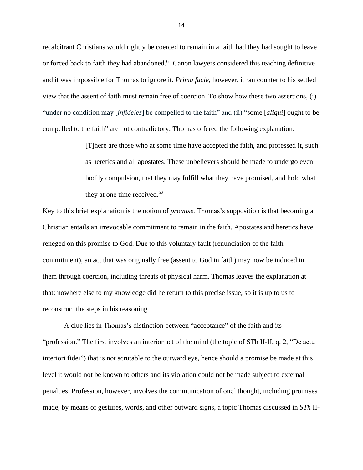recalcitrant Christians would rightly be coerced to remain in a faith had they had sought to leave or forced back to faith they had abandoned.<sup>61</sup> Canon lawyers considered this teaching definitive and it was impossible for Thomas to ignore it. *Prima facie*, however, it ran counter to his settled view that the assent of faith must remain free of coercion. To show how these two assertions, (i) "under no condition may [*infideles*] be compelled to the faith" and (ii) "some [*aliqui*] ought to be compelled to the faith" are not contradictory, Thomas offered the following explanation:

> [T]here are those who at some time have accepted the faith, and professed it, such as heretics and all apostates. These unbelievers should be made to undergo even bodily compulsion, that they may fulfill what they have promised, and hold what they at one time received. $62$

Key to this brief explanation is the notion of *promise.* Thomas's supposition is that becoming a Christian entails an irrevocable commitment to remain in the faith. Apostates and heretics have reneged on this promise to God. Due to this voluntary fault (renunciation of the faith commitment), an act that was originally free (assent to God in faith) may now be induced in them through coercion, including threats of physical harm. Thomas leaves the explanation at that; nowhere else to my knowledge did he return to this precise issue, so it is up to us to reconstruct the steps in his reasoning

A clue lies in Thomas's distinction between "acceptance" of the faith and its "profession." The first involves an interior act of the mind (the topic of STh II-II, q. 2, "De actu interiori fidei") that is not scrutable to the outward eye, hence should a promise be made at this level it would not be known to others and its violation could not be made subject to external penalties. Profession, however, involves the communication of one' thought, including promises made, by means of gestures, words, and other outward signs, a topic Thomas discussed in *STh* II-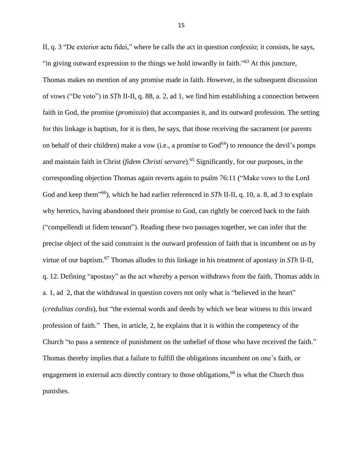II, q. 3 "De exterior actu fidei," where he calls the act in question *confessio*; it consists, he says, "in giving outward expression to the things we hold inwardly in faith."<sup>63</sup> At this juncture, Thomas makes no mention of any promise made in faith. However, in the subsequent discussion of vows ("De voto") in *STh* II-II, q. 88, a. 2, ad 1, we find him establishing a connection between faith in God, the promise (*promissio*) that accompanies it, and its outward profession. The setting for this linkage is baptism, for it is then, he says, that those receiving the sacrament (or parents on behalf of their children) make a vow (i.e., a promise to  $God<sup>64</sup>$ ) to renounce the devil's pomps and maintain faith in Christ (*fidem Christi servare*). <sup>65</sup> Significantly, for our purposes, in the corresponding objection Thomas again reverts again to psalm 76:11 ("Make vows to the Lord God and keep them" <sup>66</sup>), which he had earlier referenced in *STh* II-II, q. 10, a. 8, ad 3 to explain why heretics, having abandoned their promise to God, can rightly be coerced back to the faith ("compellendi ut fidem teneant"). Reading these two passages together, we can infer that the precise object of the said constraint is the outward profession of faith that is incumbent on us by virtue of our baptism.<sup>67</sup> Thomas alludes to this linkage in his treatment of apostasy in *STh* II-II, q. 12. Defining "apostasy" as the act whereby a person withdraws from the faith, Thomas adds in a. 1, ad 2, that the withdrawal in question covers not only what is "believed in the heart" (*credulitas cordis*), but "the external words and deeds by which we bear witness to this inward profession of faith." Then, in article, 2, he explains that it is within the competency of the Church "to pass a sentence of punishment on the unbelief of those who have received the faith." Thomas thereby implies that a failure to fulfill the obligations incumbent on one's faith, or engagement in external acts directly contrary to those obligations,  $68$  is what the Church thus punishes.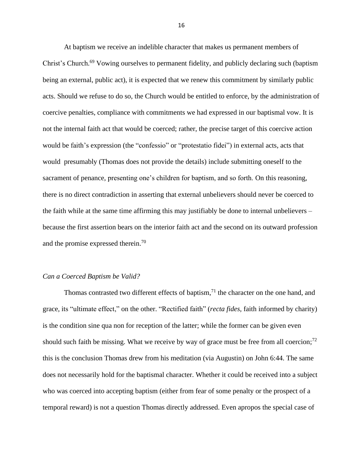At baptism we receive an indelible character that makes us permanent members of Christ's Church.<sup>69</sup> Vowing ourselves to permanent fidelity, and publicly declaring such (baptism being an external, public act), it is expected that we renew this commitment by similarly public acts. Should we refuse to do so, the Church would be entitled to enforce, by the administration of coercive penalties, compliance with commitments we had expressed in our baptismal vow. It is not the internal faith act that would be coerced; rather, the precise target of this coercive action would be faith's expression (the "confessio" or "protestatio fidei") in external acts, acts that would presumably (Thomas does not provide the details) include submitting oneself to the sacrament of penance, presenting one's children for baptism, and so forth. On this reasoning, there is no direct contradiction in asserting that external unbelievers should never be coerced to the faith while at the same time affirming this may justifiably be done to internal unbelievers – because the first assertion bears on the interior faith act and the second on its outward profession and the promise expressed therein. 70

# *Can a Coerced Baptism be Valid?*

Thomas contrasted two different effects of baptism,<sup>71</sup> the character on the one hand, and grace, its "ultimate effect," on the other. "Rectified faith" (*recta fides,* faith informed by charity) is the condition sine qua non for reception of the latter; while the former can be given even should such faith be missing. What we receive by way of grace must be free from all coercion;<sup>72</sup> this is the conclusion Thomas drew from his meditation (via Augustin) on John 6:44. The same does not necessarily hold for the baptismal character. Whether it could be received into a subject who was coerced into accepting baptism (either from fear of some penalty or the prospect of a temporal reward) is not a question Thomas directly addressed. Even apropos the special case of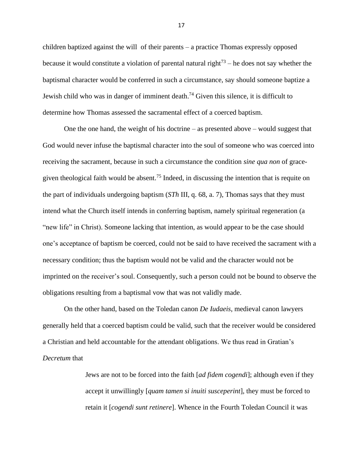children baptized against the will of their parents – a practice Thomas expressly opposed because it would constitute a violation of parental natural right<sup>73</sup> – he does not say whether the baptismal character would be conferred in such a circumstance, say should someone baptize a Jewish child who was in danger of imminent death.<sup>74</sup> Given this silence, it is difficult to determine how Thomas assessed the sacramental effect of a coerced baptism.

One the one hand, the weight of his doctrine – as presented above – would suggest that God would never infuse the baptismal character into the soul of someone who was coerced into receiving the sacrament, because in such a circumstance the condition *sine qua non* of gracegiven theological faith would be absent.<sup>75</sup> Indeed, in discussing the intention that is requite on the part of individuals undergoing baptism (*STh* III, q. 68, a. 7), Thomas says that they must intend what the Church itself intends in conferring baptism, namely spiritual regeneration (a "new life" in Christ). Someone lacking that intention, as would appear to be the case should one's acceptance of baptism be coerced, could not be said to have received the sacrament with a necessary condition; thus the baptism would not be valid and the character would not be imprinted on the receiver's soul. Consequently, such a person could not be bound to observe the obligations resulting from a baptismal vow that was not validly made.

On the other hand, based on the Toledan canon *De Iudaeis*, medieval canon lawyers generally held that a coerced baptism could be valid, such that the receiver would be considered a Christian and held accountable for the attendant obligations. We thus read in Gratian's *Decretum* that

> Jews are not to be forced into the faith [*ad fidem cogendi*]; although even if they accept it unwillingly [*quam tamen si inuiti susceperint*], they must be forced to retain it [*cogendi sunt retinere*]. Whence in the Fourth Toledan Council it was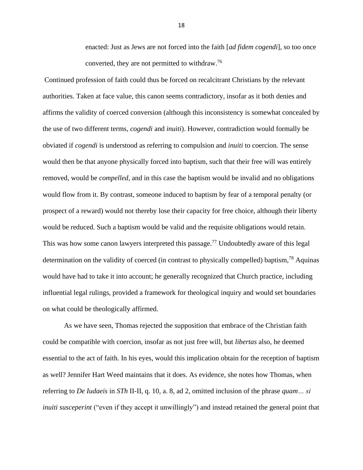enacted: Just as Jews are not forced into the faith [*ad fidem cogendi*], so too once converted, they are not permitted to withdraw.<sup>76</sup>

Continued profession of faith could thus be forced on recalcitrant Christians by the relevant authorities. Taken at face value, this canon seems contradictory, insofar as it both denies and affirms the validity of coerced conversion (although this inconsistency is somewhat concealed by the use of two different terms, *cogendi* and *inuiti*). However, contradiction would formally be obviated if *cogendi* is understood as referring to compulsion and *inuiti* to coercion. The sense would then be that anyone physically forced into baptism, such that their free will was entirely removed, would be *compelled*, and in this case the baptism would be invalid and no obligations would flow from it. By contrast, someone induced to baptism by fear of a temporal penalty (or prospect of a reward) would not thereby lose their capacity for free choice, although their liberty would be reduced. Such a baptism would be valid and the requisite obligations would retain. This was how some canon lawyers interpreted this passage.<sup>77</sup> Undoubtedly aware of this legal determination on the validity of coerced (in contrast to physically compelled) baptism,  $^{78}$  Aquinas would have had to take it into account; he generally recognized that Church practice, including influential legal rulings, provided a framework for theological inquiry and would set boundaries on what could be theologically affirmed.

As we have seen, Thomas rejected the supposition that embrace of the Christian faith could be compatible with coercion, insofar as not just free will, but *libertas* also, he deemed essential to the act of faith. In his eyes, would this implication obtain for the reception of baptism as well? Jennifer Hart Weed maintains that it does. As evidence, she notes how Thomas, when referring to *De Iudaeis* in *STh* II-II, q. 10, a. 8, ad 2, omitted inclusion of the phrase *quam… si inuiti susceperint* ("even if they accept it unwillingly") and instead retained the general point that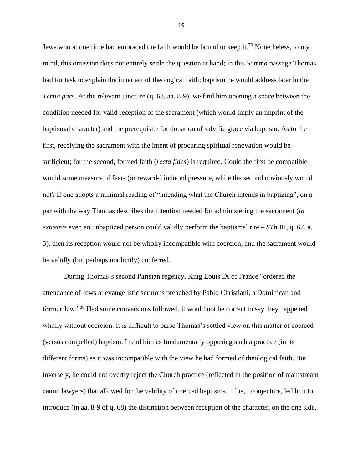Jews who at one time had embraced the faith would be bound to keep it.<sup>79</sup> Nonetheless, to my mind, this omission does not entirely settle the question at hand; in this *Summa* passage Thomas had for task to explain the inner act of theological faith; baptism he would address later in the *Tertia pars*. At the relevant juncture (q. 68, aa. 8-9), we find him opening a space between the condition needed for valid reception of the sacrament (which would imply an imprint of the baptismal character) and the prerequisite for donation of salvific grace via baptism. As to the first, receiving the sacrament with the intent of procuring spiritual renovation would be sufficient; for the second, formed faith (*recta fides*) is required. Could the first be compatible would some measure of fear- (or reward-) induced pressure, while the second obviously would not? If one adopts a minimal reading of "intending what the Church intends in baptizing", on a par with the way Thomas describes the intention needed for administering the sacrament (*in extremis* even an unbaptized person could validly perform the baptismal rite – *STh* III, q. 67, a. 5), then its reception would not be wholly incompatible with coercion, and the sacrament would be validly (but perhaps not licitly) conferred.

During Thomas's second Parisian regency, King Louis IX of France "ordered the attendance of Jews at evangelistic sermons preached by Pablo Christiani, a Dominican and former Jew."<sup>80</sup> Had some conversions followed, it would not be correct to say they happened wholly without coercion. It is difficult to parse Thomas's settled view on this matter of coerced (versus compelled) baptism. I read him as fundamentally opposing such a practice (in its different forms) as it was incompatible with the view he had formed of theological faith. But inversely, he could not overtly reject the Church practice (reflected in the position of mainstream canon lawyers) that allowed for the validity of coerced baptisms. This, I conjecture, led him to introduce (in aa. 8-9 of q. 68) the distinction between reception of the character, on the one side,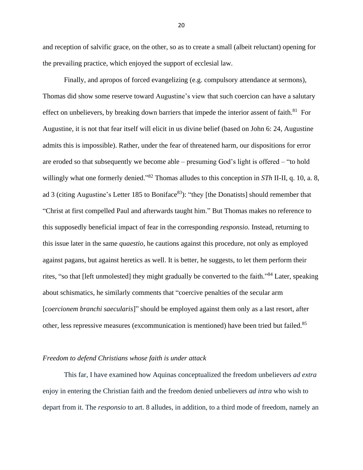and reception of salvific grace, on the other, so as to create a small (albeit reluctant) opening for the prevailing practice, which enjoyed the support of ecclesial law.

Finally, and apropos of forced evangelizing (e.g. compulsory attendance at sermons), Thomas did show some reserve toward Augustine's view that such coercion can have a salutary effect on unbelievers, by breaking down barriers that impede the interior assent of faith.<sup>81</sup> For Augustine, it is not that fear itself will elicit in us divine belief (based on John 6: 24, Augustine admits this is impossible). Rather, under the fear of threatened harm, our dispositions for error are eroded so that subsequently we become able – presuming God's light is offered – "to hold willingly what one formerly denied." <sup>82</sup> Thomas alludes to this conception in *STh* II-II, q. 10, a. 8, ad 3 (citing Augustine's Letter 185 to Boniface<sup>83</sup>): "they [the Donatists] should remember that "Christ at first compelled Paul and afterwards taught him." But Thomas makes no reference to this supposedly beneficial impact of fear in the corresponding *responsio*. Instead, returning to this issue later in the same *quaestio*, he cautions against this procedure, not only as employed against pagans, but against heretics as well. It is better, he suggests, to let them perform their rites, "so that [left unmolested] they might gradually be converted to the faith."<sup>84</sup> Later, speaking about schismatics, he similarly comments that "coercive penalties of the secular arm [*coercionem branchi saecularis*]" should be employed against them only as a last resort, after other, less repressive measures (excommunication is mentioned) have been tried but failed.<sup>85</sup>

## *Freedom to defend Christians whose faith is under attack*

This far, I have examined how Aquinas conceptualized the freedom unbelievers *ad extra* enjoy in entering the Christian faith and the freedom denied unbelievers *ad intra* who wish to depart from it. The *responsio* to art. 8 alludes, in addition, to a third mode of freedom, namely an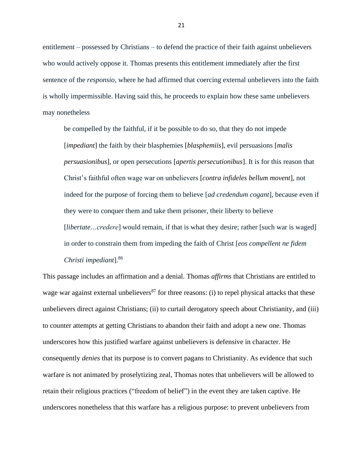entitlement – possessed by Christians – to defend the practice of their faith against unbelievers who would actively oppose it. Thomas presents this entitlement immediately after the first sentence of the *responsio*, where he had affirmed that coercing external unbelievers into the faith is wholly impermissible. Having said this, he proceeds to explain how these same unbelievers may nonetheless

be compelled by the faithful, if it be possible to do so, that they do not impede [*impediant*] the faith by their blasphemies [*blasphemiis*], evil persuasions [*malis persuasionibus*], or open persecutions [*apertis persecutionibus*]. It is for this reason that Christ's faithful often wage war on unbelievers [*contra infideles bellum movent*], not indeed for the purpose of forcing them to believe [*ad credendum cogant*], because even if they were to conquer them and take them prisoner, their liberty to believe [*libertate...credere*] would remain, if that is what they desire; rather [such war is waged] in order to constrain them from impeding the faith of Christ [*eos compellent ne fidem Christi impediant*]. 86

This passage includes an affirmation and a denial. Thomas *affirms* that Christians are entitled to wage war against external unbelievers<sup>87</sup> for three reasons: (i) to repel physical attacks that these unbelievers direct against Christians; (ii) to curtail derogatory speech about Christianity, and (iii) to counter attempts at getting Christians to abandon their faith and adopt a new one. Thomas underscores how this justified warfare against unbelievers is defensive in character. He consequently *denies* that its purpose is to convert pagans to Christianity. As evidence that such warfare is not animated by proselytizing zeal, Thomas notes that unbelievers will be allowed to retain their religious practices ("freedom of belief") in the event they are taken captive. He underscores nonetheless that this warfare has a religious purpose: to prevent unbelievers from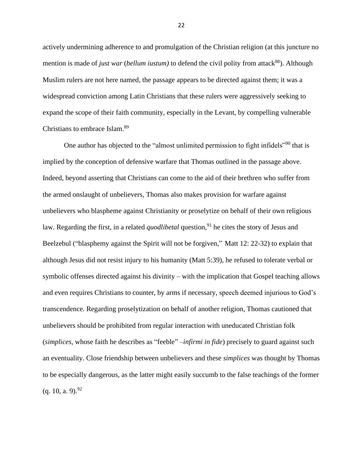actively undermining adherence to and promulgation of the Christian religion (at this juncture no mention is made of *just war* (*bellum iustum*) to defend the civil polity from attack<sup>88</sup>). Although Muslim rulers are not here named, the passage appears to be directed against them; it was a widespread conviction among Latin Christians that these rulers were aggressively seeking to expand the scope of their faith community, especially in the Levant, by compelling vulnerable Christians to embrace Islam.<sup>89</sup>

One author has objected to the "almost unlimited permission to fight infidels"<sup>90</sup> that is implied by the conception of defensive warfare that Thomas outlined in the passage above. Indeed, beyond asserting that Christians can come to the aid of their brethren who suffer from the armed onslaught of unbelievers, Thomas also makes provision for warfare against unbelievers who blaspheme against Christianity or proselytize on behalf of their own religious law. Regarding the first, in a related *quodlibetal* question,<sup>91</sup> he cites the story of Jesus and Beelzebul ("blasphemy against the Spirit will not be forgiven," Matt 12: 22-32) to explain that although Jesus did not resist injury to his humanity (Matt 5:39), he refused to tolerate verbal or symbolic offenses directed against his divinity – with the implication that Gospel teaching allows and even requires Christians to counter, by arms if necessary, speech deemed injurious to God's transcendence. Regarding proselytization on behalf of another religion, Thomas cautioned that unbelievers should be prohibited from regular interaction with uneducated Christian folk (*simplices*, whose faith he describes as "feeble" –*infirmi in fide*) precisely to guard against such an eventuality. Close friendship between unbelievers and these *simplices* was thought by Thomas to be especially dangerous, as the latter might easily succumb to the false teachings of the former  $(q. 10, a. 9).^{92}$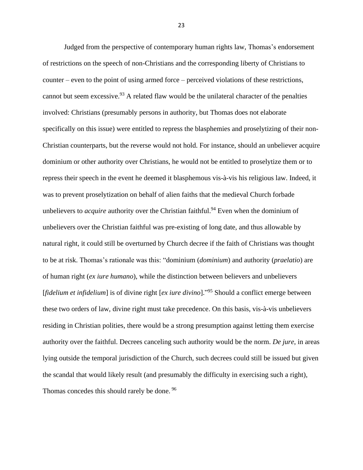Judged from the perspective of contemporary human rights law, Thomas's endorsement of restrictions on the speech of non-Christians and the corresponding liberty of Christians to counter – even to the point of using armed force – perceived violations of these restrictions, cannot but seem excessive.<sup>93</sup> A related flaw would be the unilateral character of the penalties involved: Christians (presumably persons in authority, but Thomas does not elaborate specifically on this issue) were entitled to repress the blasphemies and proselytizing of their non-Christian counterparts, but the reverse would not hold. For instance, should an unbeliever acquire dominium or other authority over Christians, he would not be entitled to proselytize them or to repress their speech in the event he deemed it blasphemous vis-à-vis his religious law. Indeed, it was to prevent proselytization on behalf of alien faiths that the medieval Church forbade unbelievers to *acquire* authority over the Christian faithful. <sup>94</sup> Even when the dominium of unbelievers over the Christian faithful was pre-existing of long date, and thus allowable by natural right, it could still be overturned by Church decree if the faith of Christians was thought to be at risk. Thomas's rationale was this: "dominium (*dominium*) and authority (*praelatio*) are of human right (*ex iure humano*), while the distinction between believers and unbelievers [*fidelium et infidelium*] is of divine right [*ex iure divino*]." <sup>95</sup> Should a conflict emerge between these two orders of law, divine right must take precedence. On this basis, vis-à-vis unbelievers residing in Christian polities, there would be a strong presumption against letting them exercise authority over the faithful. Decrees canceling such authority would be the norm. *De jure*, in areas lying outside the temporal jurisdiction of the Church, such decrees could still be issued but given the scandal that would likely result (and presumably the difficulty in exercising such a right), Thomas concedes this should rarely be done. <sup>96</sup>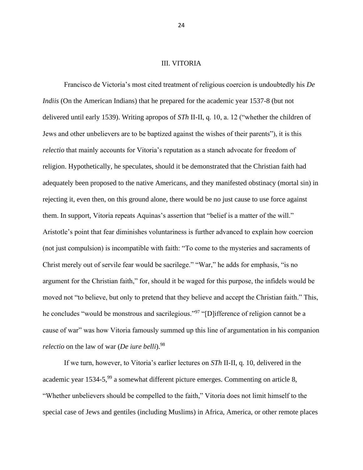## III. VITORIA

Francisco de Victoria's most cited treatment of religious coercion is undoubtedly his *De Indiis* (On the American Indians) that he prepared for the academic year 1537-8 (but not delivered until early 1539). Writing apropos of *STh* II-II, q. 10, a. 12 ("whether the children of Jews and other unbelievers are to be baptized against the wishes of their parents"), it is this *relectio* that mainly accounts for Vitoria's reputation as a stanch advocate for freedom of religion. Hypothetically, he speculates, should it be demonstrated that the Christian faith had adequately been proposed to the native Americans, and they manifested obstinacy (mortal sin) in rejecting it, even then, on this ground alone, there would be no just cause to use force against them. In support, Vitoria repeats Aquinas's assertion that "belief is a matter of the will." Aristotle's point that fear diminishes voluntariness is further advanced to explain how coercion (not just compulsion) is incompatible with faith: "To come to the mysteries and sacraments of Christ merely out of servile fear would be sacrilege." "War," he adds for emphasis, "is no argument for the Christian faith," for, should it be waged for this purpose, the infidels would be moved not "to believe, but only to pretend that they believe and accept the Christian faith." This, he concludes "would be monstrous and sacrilegious."<sup>97</sup> "[D] ifference of religion cannot be a cause of war" was how Vitoria famously summed up this line of argumentation in his companion *relectio* on the law of war (*De iure belli*).<sup>98</sup>

If we turn, however, to Vitoria's earlier lectures on *STh* II-II, q. 10, delivered in the academic year  $1534-5,99$  a somewhat different picture emerges. Commenting on article 8, "Whether unbelievers should be compelled to the faith," Vitoria does not limit himself to the special case of Jews and gentiles (including Muslims) in Africa, America, or other remote places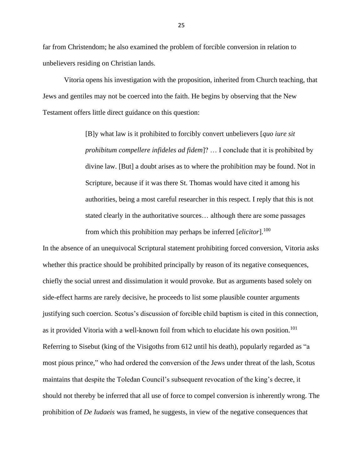far from Christendom; he also examined the problem of forcible conversion in relation to unbelievers residing on Christian lands.

Vitoria opens his investigation with the proposition, inherited from Church teaching, that Jews and gentiles may not be coerced into the faith. He begins by observing that the New Testament offers little direct guidance on this question:

> [B]y what law is it prohibited to forcibly convert unbelievers [*quo iure sit prohibitum compellere infideles ad fidem*]? … I conclude that it is prohibited by divine law. [But] a doubt arises as to where the prohibition may be found. Not in Scripture, because if it was there St. Thomas would have cited it among his authorities, being a most careful researcher in this respect. I reply that this is not stated clearly in the authoritative sources… although there are some passages from which this prohibition may perhaps be inferred [*elicitor*].<sup>100</sup>

In the absence of an unequivocal Scriptural statement prohibiting forced conversion, Vitoria asks whether this practice should be prohibited principally by reason of its negative consequences, chiefly the social unrest and dissimulation it would provoke. But as arguments based solely on side-effect harms are rarely decisive, he proceeds to list some plausible counter arguments justifying such coercion. Scotus's discussion of forcible child baptism is cited in this connection, as it provided Vitoria with a well-known foil from which to elucidate his own position.<sup>101</sup> Referring to Sisebut (king of the Visigoths from 612 until his death), popularly regarded as "a most pious prince," who had ordered the conversion of the Jews under threat of the lash, Scotus maintains that despite the Toledan Council's subsequent revocation of the king's decree, it should not thereby be inferred that all use of force to compel conversion is inherently wrong. The prohibition of *De Iudaeis* was framed, he suggests, in view of the negative consequences that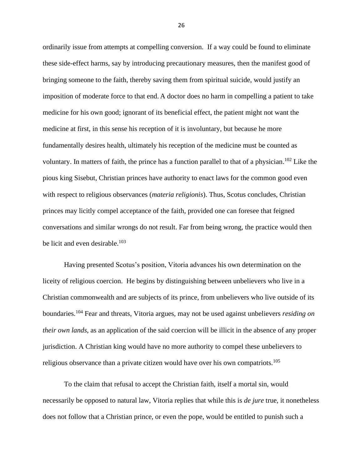ordinarily issue from attempts at compelling conversion. If a way could be found to eliminate these side-effect harms, say by introducing precautionary measures, then the manifest good of bringing someone to the faith, thereby saving them from spiritual suicide, would justify an imposition of moderate force to that end. A doctor does no harm in compelling a patient to take medicine for his own good; ignorant of its beneficial effect, the patient might not want the medicine at first, in this sense his reception of it is involuntary, but because he more fundamentally desires health, ultimately his reception of the medicine must be counted as voluntary. In matters of faith, the prince has a function parallel to that of a physician. <sup>102</sup> Like the pious king Sisebut, Christian princes have authority to enact laws for the common good even with respect to religious observances (*materia religionis*). Thus, Scotus concludes, Christian princes may licitly compel acceptance of the faith, provided one can foresee that feigned conversations and similar wrongs do not result. Far from being wrong, the practice would then be licit and even desirable.<sup>103</sup>

Having presented Scotus's position, Vitoria advances his own determination on the liceity of religious coercion. He begins by distinguishing between unbelievers who live in a Christian commonwealth and are subjects of its prince, from unbelievers who live outside of its boundaries.<sup>104</sup> Fear and threats, Vitoria argues, may not be used against unbelievers *residing on their own lands*, as an application of the said coercion will be illicit in the absence of any proper jurisdiction. A Christian king would have no more authority to compel these unbelievers to religious observance than a private citizen would have over his own compatriots.<sup>105</sup>

To the claim that refusal to accept the Christian faith, itself a mortal sin, would necessarily be opposed to natural law, Vitoria replies that while this is *de jure* true, it nonetheless does not follow that a Christian prince, or even the pope, would be entitled to punish such a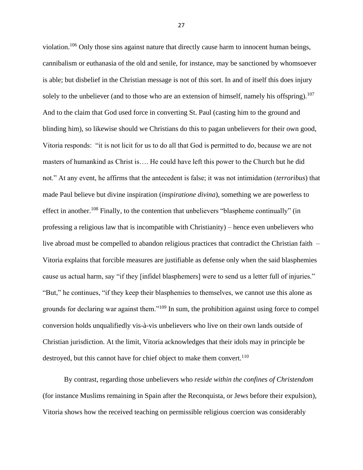violation.<sup>106</sup> Only those sins against nature that directly cause harm to innocent human beings, cannibalism or euthanasia of the old and senile, for instance, may be sanctioned by whomsoever is able; but disbelief in the Christian message is not of this sort. In and of itself this does injury solely to the unbeliever (and to those who are an extension of himself, namely his offspring).<sup>107</sup> And to the claim that God used force in converting St. Paul (casting him to the ground and blinding him), so likewise should we Christians do this to pagan unbelievers for their own good, Vitoria responds: "it is not licit for us to do all that God is permitted to do, because we are not masters of humankind as Christ is…. He could have left this power to the Church but he did not." At any event, he affirms that the antecedent is false; it was not intimidation (*terroribus*) that made Paul believe but divine inspiration (*inspiratione divina*), something we are powerless to effect in another.<sup>108</sup> Finally, to the contention that unbelievers "blaspheme continually" (in professing a religious law that is incompatible with Christianity) – hence even unbelievers who live abroad must be compelled to abandon religious practices that contradict the Christian faith – Vitoria explains that forcible measures are justifiable as defense only when the said blasphemies cause us actual harm, say "if they [infidel blasphemers] were to send us a letter full of injuries." "But," he continues, "if they keep their blasphemies to themselves, we cannot use this alone as grounds for declaring war against them."<sup>109</sup> In sum, the prohibition against using force to compel conversion holds unqualifiedly vis-à-vis unbelievers who live on their own lands outside of Christian jurisdiction. At the limit, Vitoria acknowledges that their idols may in principle be destroyed, but this cannot have for chief object to make them convert.<sup>110</sup>

By contrast, regarding those unbelievers who *reside within the confines of Christendom* (for instance Muslims remaining in Spain after the Reconquista, or Jews before their expulsion), Vitoria shows how the received teaching on permissible religious coercion was considerably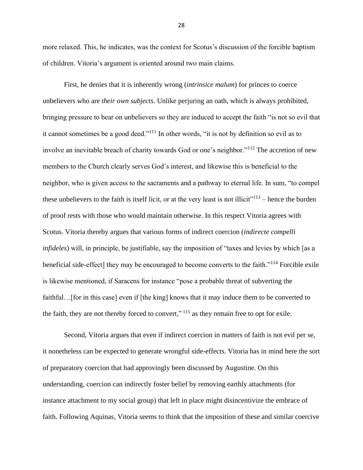more relaxed. This, he indicates, was the context for Scotus's discussion of the forcible baptism of children. Vitoria's argument is oriented around two main claims.

First, he denies that it is inherently wrong (*intrinsice malum*) for princes to coerce unbelievers who are *their own subjects*. Unlike perjuring an oath, which is always prohibited, bringing pressure to bear on unbelievers so they are induced to accept the faith "is not so evil that it cannot sometimes be a good deed."<sup>111</sup> In other words, "it is not by definition so evil as to involve an inevitable breach of charity towards God or one's neighbor."<sup>112</sup> The accretion of new members to the Church clearly serves God's interest, and likewise this is beneficial to the neighbor, who is given access to the sacraments and a pathway to eternal life. In sum, "to compel these unbelievers to the faith is itself licit, or at the very least is not illicit $v^{113}$  – hence the burden of proof rests with those who would maintain otherwise. In this respect Vitoria agrees with Scotus. Vitoria thereby argues that various forms of indirect coercion (*indirecte compelli infideles*) will, in principle, be justifiable, say the imposition of "taxes and levies by which [as a beneficial side-effect] they may be encouraged to become converts to the faith."<sup>114</sup> Forcible exile is likewise mentioned, if Saracens for instance "pose a probable threat of subverting the faithful…[for in this case] even if [the king] knows that it may induce them to be converted to the faith, they are not thereby forced to convert,"<sup> $115$ </sup> as they remain free to opt for exile.

Second, Vitoria argues that even if indirect coercion in matters of faith is not evil per se, it nonetheless can be expected to generate wrongful side-effects. Vitoria has in mind here the sort of preparatory coercion that had approvingly been discussed by Augustine. On this understanding, coercion can indirectly foster belief by removing earthly attachments (for instance attachment to my social group) that left in place might disincentivize the embrace of faith. Following Aquinas, Vitoria seems to think that the imposition of these and similar coercive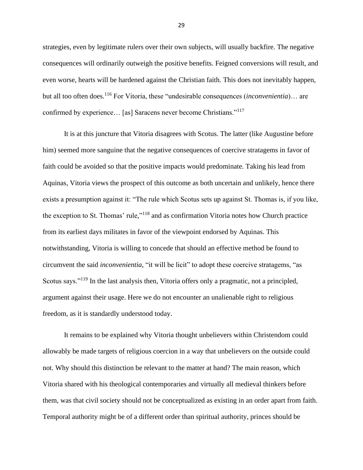strategies, even by legitimate rulers over their own subjects, will usually backfire. The negative consequences will ordinarily outweigh the positive benefits. Feigned conversions will result, and even worse, hearts will be hardened against the Christian faith. This does not inevitably happen, but all too often does.<sup>116</sup> For Vitoria, these "undesirable consequences (*inconvenientia*)… are confirmed by experience… [as] Saracens never become Christians."<sup>117</sup>

It is at this juncture that Vitoria disagrees with Scotus. The latter (like Augustine before him) seemed more sanguine that the negative consequences of coercive stratagems in favor of faith could be avoided so that the positive impacts would predominate. Taking his lead from Aquinas, Vitoria views the prospect of this outcome as both uncertain and unlikely, hence there exists a presumption against it: "The rule which Scotus sets up against St. Thomas is, if you like, the exception to St. Thomas' rule,"<sup>118</sup> and as confirmation Vitoria notes how Church practice from its earliest days militates in favor of the viewpoint endorsed by Aquinas. This notwithstanding, Vitoria is willing to concede that should an effective method be found to circumvent the said *inconvenientia*, "it will be licit" to adopt these coercive stratagems, "as Scotus says."<sup>119</sup> In the last analysis then, Vitoria offers only a pragmatic, not a principled, argument against their usage. Here we do not encounter an unalienable right to religious freedom, as it is standardly understood today.

It remains to be explained why Vitoria thought unbelievers within Christendom could allowably be made targets of religious coercion in a way that unbelievers on the outside could not. Why should this distinction be relevant to the matter at hand? The main reason, which Vitoria shared with his theological contemporaries and virtually all medieval thinkers before them, was that civil society should not be conceptualized as existing in an order apart from faith. Temporal authority might be of a different order than spiritual authority, princes should be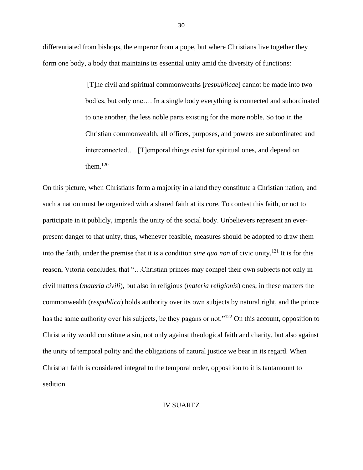differentiated from bishops, the emperor from a pope, but where Christians live together they form one body, a body that maintains its essential unity amid the diversity of functions:

> [T]he civil and spiritual commonweaths [*respublicae*] cannot be made into two bodies, but only one…. In a single body everything is connected and subordinated to one another, the less noble parts existing for the more noble. So too in the Christian commonwealth, all offices, purposes, and powers are subordinated and interconnected…. [T]emporal things exist for spiritual ones, and depend on them $120$

On this picture, when Christians form a majority in a land they constitute a Christian nation, and such a nation must be organized with a shared faith at its core. To contest this faith, or not to participate in it publicly, imperils the unity of the social body. Unbelievers represent an everpresent danger to that unity, thus, whenever feasible, measures should be adopted to draw them into the faith, under the premise that it is a condition *sine qua non* of civic unity.<sup>121</sup> It is for this reason, Vitoria concludes, that "…Christian princes may compel their own subjects not only in civil matters (*materia civili*), but also in religious (*materia religionis*) ones; in these matters the commonwealth (*respublica*) holds authority over its own subjects by natural right, and the prince has the same authority over his subjects, be they pagans or not."<sup>122</sup> On this account, opposition to Christianity would constitute a sin, not only against theological faith and charity, but also against the unity of temporal polity and the obligations of natural justice we bear in its regard. When Christian faith is considered integral to the temporal order, opposition to it is tantamount to sedition.

#### IV SUAREZ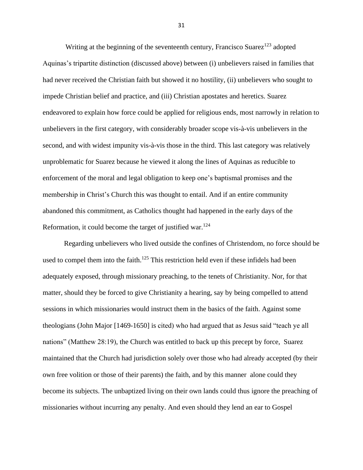Writing at the beginning of the seventeenth century, Francisco Suarez<sup>123</sup> adopted Aquinas's tripartite distinction (discussed above) between (i) unbelievers raised in families that had never received the Christian faith but showed it no hostility, (ii) unbelievers who sought to impede Christian belief and practice, and (iii) Christian apostates and heretics. Suarez endeavored to explain how force could be applied for religious ends, most narrowly in relation to unbelievers in the first category, with considerably broader scope vis-à-vis unbelievers in the second, and with widest impunity vis-à-vis those in the third. This last category was relatively unproblematic for Suarez because he viewed it along the lines of Aquinas as reducible to enforcement of the moral and legal obligation to keep one's baptismal promises and the membership in Christ's Church this was thought to entail. And if an entire community abandoned this commitment, as Catholics thought had happened in the early days of the Reformation, it could become the target of justified war.<sup>124</sup>

Regarding unbelievers who lived outside the confines of Christendom, no force should be used to compel them into the faith.<sup>125</sup> This restriction held even if these infidels had been adequately exposed, through missionary preaching, to the tenets of Christianity. Nor, for that matter, should they be forced to give Christianity a hearing, say by being compelled to attend sessions in which missionaries would instruct them in the basics of the faith. Against some theologians (John Major [1469-1650] is cited) who had argued that as Jesus said "teach ye all nations" (Matthew 28:19), the Church was entitled to back up this precept by force, Suarez maintained that the Church had jurisdiction solely over those who had already accepted (by their own free volition or those of their parents) the faith, and by this manner alone could they become its subjects. The unbaptized living on their own lands could thus ignore the preaching of missionaries without incurring any penalty. And even should they lend an ear to Gospel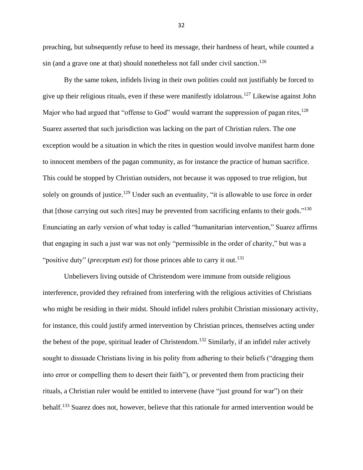preaching, but subsequently refuse to heed its message, their hardness of heart, while counted a sin (and a grave one at that) should nonetheless not fall under civil sanction. 126

By the same token, infidels living in their own polities could not justifiably be forced to give up their religious rituals, even if these were manifestly idolatrous.<sup>127</sup> Likewise against John Major who had argued that "offense to God" would warrant the suppression of pagan rites,  $128$ Suarez asserted that such jurisdiction was lacking on the part of Christian rulers. The one exception would be a situation in which the rites in question would involve manifest harm done to innocent members of the pagan community, as for instance the practice of human sacrifice. This could be stopped by Christian outsiders, not because it was opposed to true religion, but solely on grounds of justice.<sup>129</sup> Under such an eventuality, "it is allowable to use force in order that [those carrying out such rites] may be prevented from sacrificing enfants to their gods."<sup>130</sup> Enunciating an early version of what today is called "humanitarian intervention," Suarez affirms that engaging in such a just war was not only "permissible in the order of charity," but was a "positive duty" (*preceptum est*) for those princes able to carry it out.<sup>131</sup>

Unbelievers living outside of Christendom were immune from outside religious interference, provided they refrained from interfering with the religious activities of Christians who might be residing in their midst. Should infidel rulers prohibit Christian missionary activity, for instance, this could justify armed intervention by Christian princes, themselves acting under the behest of the pope, spiritual leader of Christendom.<sup>132</sup> Similarly, if an infidel ruler actively sought to dissuade Christians living in his polity from adhering to their beliefs ("dragging them into error or compelling them to desert their faith"), or prevented them from practicing their rituals, a Christian ruler would be entitled to intervene (have "just ground for war") on their behalf.<sup>133</sup> Suarez does not, however, believe that this rationale for armed intervention would be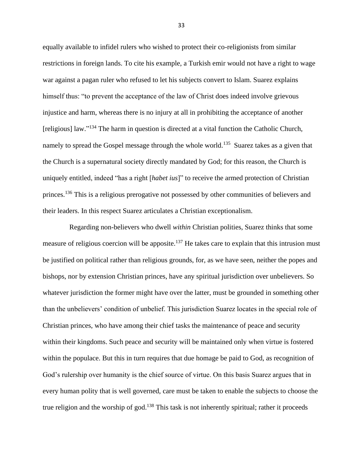equally available to infidel rulers who wished to protect their co-religionists from similar restrictions in foreign lands. To cite his example, a Turkish emir would not have a right to wage war against a pagan ruler who refused to let his subjects convert to Islam. Suarez explains himself thus: "to prevent the acceptance of the law of Christ does indeed involve grievous injustice and harm, whereas there is no injury at all in prohibiting the acceptance of another [religious] law."<sup>134</sup> The harm in question is directed at a vital function the Catholic Church, namely to spread the Gospel message through the whole world.<sup>135</sup> Suarez takes as a given that the Church is a supernatural society directly mandated by God; for this reason, the Church is uniquely entitled, indeed "has a right [*habet ius*]" to receive the armed protection of Christian princes.<sup>136</sup> This is a religious prerogative not possessed by other communities of believers and their leaders. In this respect Suarez articulates a Christian exceptionalism.

 Regarding non-believers who dwell *within* Christian polities, Suarez thinks that some measure of religious coercion will be apposite.<sup>137</sup> He takes care to explain that this intrusion must be justified on political rather than religious grounds, for, as we have seen, neither the popes and bishops, nor by extension Christian princes, have any spiritual jurisdiction over unbelievers. So whatever jurisdiction the former might have over the latter, must be grounded in something other than the unbelievers' condition of unbelief. This jurisdiction Suarez locates in the special role of Christian princes, who have among their chief tasks the maintenance of peace and security within their kingdoms. Such peace and security will be maintained only when virtue is fostered within the populace. But this in turn requires that due homage be paid to God, as recognition of God's rulership over humanity is the chief source of virtue. On this basis Suarez argues that in every human polity that is well governed, care must be taken to enable the subjects to choose the true religion and the worship of god.<sup>138</sup> This task is not inherently spiritual; rather it proceeds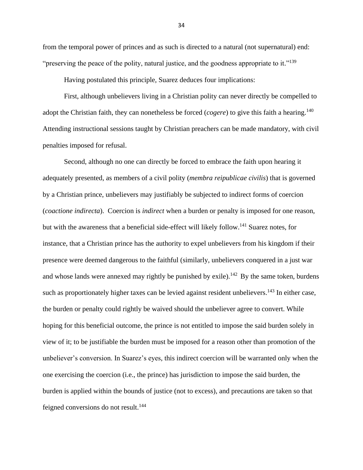from the temporal power of princes and as such is directed to a natural (not supernatural) end: "preserving the peace of the polity, natural justice, and the goodness appropriate to it."<sup>139</sup>

Having postulated this principle, Suarez deduces four implications:

First, although unbelievers living in a Christian polity can never directly be compelled to adopt the Christian faith, they can nonetheless be forced (*cogere*) to give this faith a hearing.<sup>140</sup> Attending instructional sessions taught by Christian preachers can be made mandatory, with civil penalties imposed for refusal.

Second, although no one can directly be forced to embrace the faith upon hearing it adequately presented, as members of a civil polity (*membra reipublicae civilis*) that is governed by a Christian prince, unbelievers may justifiably be subjected to indirect forms of coercion (*coactione indirecta*). Coercion is *indirect* when a burden or penalty is imposed for one reason, but with the awareness that a beneficial side-effect will likely follow.<sup>141</sup> Suarez notes, for instance, that a Christian prince has the authority to expel unbelievers from his kingdom if their presence were deemed dangerous to the faithful (similarly, unbelievers conquered in a just war and whose lands were annexed may rightly be punished by exile).<sup>142</sup> By the same token, burdens such as proportionately higher taxes can be levied against resident unbelievers.<sup>143</sup> In either case, the burden or penalty could rightly be waived should the unbeliever agree to convert. While hoping for this beneficial outcome, the prince is not entitled to impose the said burden solely in view of it; to be justifiable the burden must be imposed for a reason other than promotion of the unbeliever's conversion. In Suarez's eyes, this indirect coercion will be warranted only when the one exercising the coercion (i.e., the prince) has jurisdiction to impose the said burden, the burden is applied within the bounds of justice (not to excess), and precautions are taken so that feigned conversions do not result.<sup>144</sup>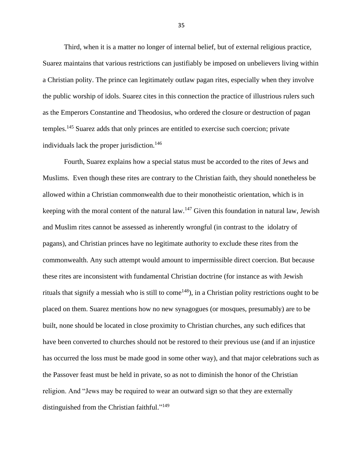Third, when it is a matter no longer of internal belief, but of external religious practice, Suarez maintains that various restrictions can justifiably be imposed on unbelievers living within a Christian polity. The prince can legitimately outlaw pagan rites, especially when they involve the public worship of idols. Suarez cites in this connection the practice of illustrious rulers such as the Emperors Constantine and Theodosius, who ordered the closure or destruction of pagan temples.<sup>145</sup> Suarez adds that only princes are entitled to exercise such coercion; private individuals lack the proper jurisdiction. 146

Fourth, Suarez explains how a special status must be accorded to the rites of Jews and Muslims. Even though these rites are contrary to the Christian faith, they should nonetheless be allowed within a Christian commonwealth due to their monotheistic orientation, which is in keeping with the moral content of the natural law.<sup>147</sup> Given this foundation in natural law, Jewish and Muslim rites cannot be assessed as inherently wrongful (in contrast to the idolatry of pagans), and Christian princes have no legitimate authority to exclude these rites from the commonwealth. Any such attempt would amount to impermissible direct coercion. But because these rites are inconsistent with fundamental Christian doctrine (for instance as with Jewish rituals that signify a messiah who is still to come<sup>148</sup>), in a Christian polity restrictions ought to be placed on them. Suarez mentions how no new synagogues (or mosques, presumably) are to be built, none should be located in close proximity to Christian churches, any such edifices that have been converted to churches should not be restored to their previous use (and if an injustice has occurred the loss must be made good in some other way), and that major celebrations such as the Passover feast must be held in private, so as not to diminish the honor of the Christian religion. And "Jews may be required to wear an outward sign so that they are externally distinguished from the Christian faithful."<sup>149</sup>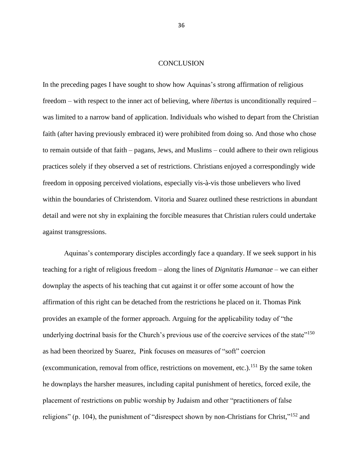#### **CONCLUSION**

In the preceding pages I have sought to show how Aquinas's strong affirmation of religious freedom – with respect to the inner act of believing, where *libertas* is unconditionally required – was limited to a narrow band of application. Individuals who wished to depart from the Christian faith (after having previously embraced it) were prohibited from doing so. And those who chose to remain outside of that faith – pagans, Jews, and Muslims – could adhere to their own religious practices solely if they observed a set of restrictions. Christians enjoyed a correspondingly wide freedom in opposing perceived violations, especially vis-à-vis those unbelievers who lived within the boundaries of Christendom. Vitoria and Suarez outlined these restrictions in abundant detail and were not shy in explaining the forcible measures that Christian rulers could undertake against transgressions.

Aquinas's contemporary disciples accordingly face a quandary. If we seek support in his teaching for a right of religious freedom – along the lines of *Dignitatis Humanae* – we can either downplay the aspects of his teaching that cut against it or offer some account of how the affirmation of this right can be detached from the restrictions he placed on it. Thomas Pink provides an example of the former approach. Arguing for the applicability today of "the underlying doctrinal basis for the Church's previous use of the coercive services of the state"<sup>150</sup> as had been theorized by Suarez, Pink focuses on measures of "soft" coercion (excommunication, removal from office, restrictions on movement, etc.). <sup>151</sup> By the same token he downplays the harsher measures, including capital punishment of heretics, forced exile, the placement of restrictions on public worship by Judaism and other "practitioners of false religions" (p. 104), the punishment of "disrespect shown by non-Christians for Christ,"<sup>152</sup> and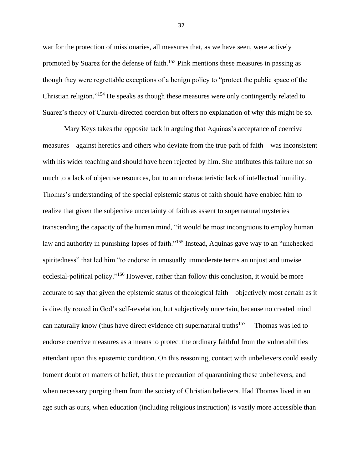war for the protection of missionaries, all measures that, as we have seen, were actively promoted by Suarez for the defense of faith.<sup>153</sup> Pink mentions these measures in passing as though they were regrettable exceptions of a benign policy to "protect the public space of the Christian religion."<sup>154</sup> He speaks as though these measures were only contingently related to Suarez's theory of Church-directed coercion but offers no explanation of why this might be so.

Mary Keys takes the opposite tack in arguing that Aquinas's acceptance of coercive measures – against heretics and others who deviate from the true path of faith – was inconsistent with his wider teaching and should have been rejected by him. She attributes this failure not so much to a lack of objective resources, but to an uncharacteristic lack of intellectual humility. Thomas's understanding of the special epistemic status of faith should have enabled him to realize that given the subjective uncertainty of faith as assent to supernatural mysteries transcending the capacity of the human mind, "it would be most incongruous to employ human law and authority in punishing lapses of faith."<sup>155</sup> Instead, Aquinas gave way to an "unchecked" spiritedness" that led him "to endorse in unusually immoderate terms an unjust and unwise ecclesial-political policy."<sup>156</sup> However, rather than follow this conclusion, it would be more accurate to say that given the epistemic status of theological faith – objectively most certain as it is directly rooted in God's self-revelation, but subjectively uncertain, because no created mind can naturally know (thus have direct evidence of) supernatural truths<sup>157</sup> – Thomas was led to endorse coercive measures as a means to protect the ordinary faithful from the vulnerabilities attendant upon this epistemic condition. On this reasoning, contact with unbelievers could easily foment doubt on matters of belief, thus the precaution of quarantining these unbelievers, and when necessary purging them from the society of Christian believers. Had Thomas lived in an age such as ours, when education (including religious instruction) is vastly more accessible than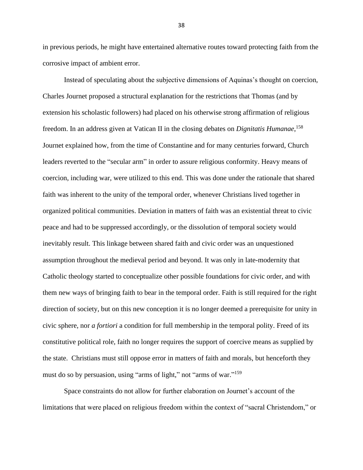in previous periods, he might have entertained alternative routes toward protecting faith from the corrosive impact of ambient error.

Instead of speculating about the subjective dimensions of Aquinas's thought on coercion, Charles Journet proposed a structural explanation for the restrictions that Thomas (and by extension his scholastic followers) had placed on his otherwise strong affirmation of religious freedom. In an address given at Vatican II in the closing debates on *Dignitatis Humanae*, 158 Journet explained how, from the time of Constantine and for many centuries forward, Church leaders reverted to the "secular arm" in order to assure religious conformity. Heavy means of coercion, including war, were utilized to this end. This was done under the rationale that shared faith was inherent to the unity of the temporal order, whenever Christians lived together in organized political communities. Deviation in matters of faith was an existential threat to civic peace and had to be suppressed accordingly, or the dissolution of temporal society would inevitably result. This linkage between shared faith and civic order was an unquestioned assumption throughout the medieval period and beyond. It was only in late-modernity that Catholic theology started to conceptualize other possible foundations for civic order, and with them new ways of bringing faith to bear in the temporal order. Faith is still required for the right direction of society, but on this new conception it is no longer deemed a prerequisite for unity in civic sphere, nor *a fortiori* a condition for full membership in the temporal polity. Freed of its constitutive political role, faith no longer requires the support of coercive means as supplied by the state. Christians must still oppose error in matters of faith and morals, but henceforth they must do so by persuasion, using "arms of light," not "arms of war."<sup>159</sup>

Space constraints do not allow for further elaboration on Journet's account of the limitations that were placed on religious freedom within the context of "sacral Christendom," or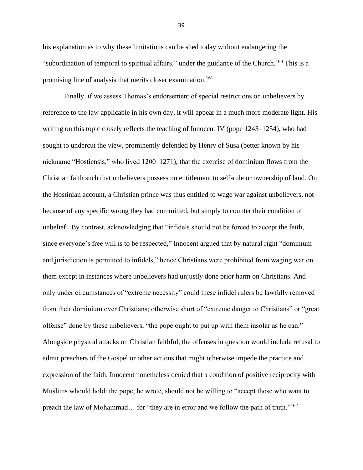his explanation as to why these limitations can be shed today without endangering the "subordination of temporal to spiritual affairs," under the guidance of the Church.<sup>160</sup> This is a promising line of analysis that merits closer examination. 161

Finally, if we assess Thomas's endorsement of special restrictions on unbelievers by reference to the law applicable in his own day, it will appear in a much more moderate light. His writing on this topic closely reflects the teaching of Innocent IV (pope 1243–1254), who had sought to undercut the view, prominently defended by Henry of Susa (better known by his nickname "Hostiensis," who lived 1200–1271), that the exercise of dominium flows from the Christian faith such that unbelievers possess no entitlement to self-rule or ownership of land. On the Hostinian account, a Christian prince was thus entitled to wage war against unbelievers, not because of any specific wrong they had committed, but simply to counter their condition of unbelief. By contrast, acknowledging that "infidels should not be forced to accept the faith, since everyone's free will is to be respected," Innocent argued that by natural right "dominium and jurisdiction is permitted to infidels," hence Christians were prohibited from waging war on them except in instances where unbelievers had unjustly done prior harm on Christians. And only under circumstances of "extreme necessity" could these infidel rulers be lawfully removed from their dominium over Christians; otherwise short of "extreme danger to Christians" or "great offense" done by these unbelievers, "the pope ought to put up with them insofar as he can." Alongside physical attacks on Christian faithful, the offenses in question would include refusal to admit preachers of the Gospel or other actions that might otherwise impede the practice and expression of the faith. Innocent nonetheless denied that a condition of positive reciprocity with Muslims whould hold: the pope, he wrote, should not be willing to "accept those who want to preach the law of Mohammad... for "they are in error and we follow the path of truth."<sup>162</sup>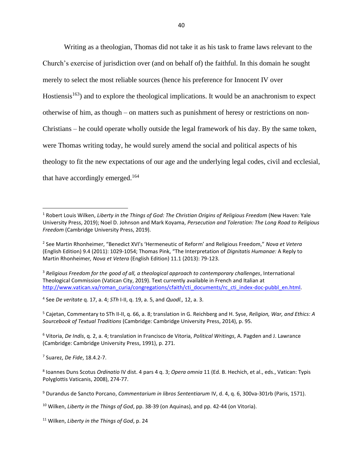Writing as a theologian, Thomas did not take it as his task to frame laws relevant to the Church's exercise of jurisdiction over (and on behalf of) the faithful. In this domain he sought merely to select the most reliable sources (hence his preference for Innocent IV over Hostiensis<sup>163</sup>) and to explore the theological implications. It would be an anachronism to expect otherwise of him, as though – on matters such as punishment of heresy or restrictions on non-Christians – he could operate wholly outside the legal framework of his day. By the same token, were Thomas writing today, he would surely amend the social and political aspects of his theology to fit the new expectations of our age and the underlying legal codes, civil and ecclesial, that have accordingly emerged.<sup>164</sup>

4 See *De veritate* q. 17, a. 4; *STh* I-II, q. 19, a. 5, and *Quodl.,* 12, a. 3.

<sup>5</sup> Cajetan, Commentary to STh II-II, q. 66, a. 8; translation in G. Reichberg and H. Syse, *Religion, War, and Ethics: A Sourcebook of Textual Traditions* (Cambridge: Cambridge University Press, 2014), p. 95.

<sup>6</sup> Vitoria, *De Indis*, q. 2, a. 4; translation in Francisco de Vitoria, *Political Writings*, A. Pagden and J. Lawrance (Cambridge: Cambridge University Press, 1991), p. 271.

7 Suarez, *De Fide*, 18.4.2-7.

8 Ioannes Duns Scotus *Ordinatio* IV dist. 4 pars 4 q. 3; *Opera omnia* 11 (Ed. B. Hechich, et al., eds., Vatican: Typis Polyglottis Vaticanis, 2008), 274-77.

<sup>9</sup> Durandus de Sancto Porcano, *Commentarium in libros Sententiarum* IV, d. 4, q. 6, 300va-301rb (Paris, 1571).

<sup>10</sup> Wilken, *Liberty in the Things of God*, pp. 38-39 (on Aquinas), and pp. 42-44 (on Vitoria).

<sup>11</sup> Wilken, *Liberty in the Things of God*, p. 24

<sup>1</sup> Robert Louis Wilken, *Liberty in the Things of God: The Christian Origins of Religious Freedom* (New Haven: Yale University Press, 2019); Noel D. Johnson and Mark Koyama, *Persecution and Toleration: The Long Road to Religious Freedom* (Cambridge University Press, 2019).

<sup>2</sup> See Martin Rhonheimer, "Benedict XVI's 'Hermeneutic of Reform' and Religious Freedom," *Nova et Vetera*  (English Edition) 9.4 (2011): 1029-1054; Thomas Pink, "The Interpretation of *Dignitatis Humanae:* A Reply to Martin Rhonheimer*, Nova et Vetera* (English Edition) 11.1 (2013): 79-123.

<sup>3</sup> *Religious Freedom for the good of all, a theological approach to contemporary challenges*, International Theological Commission (Vatican City, 2019). Text currently available in French and Italian at [http://www.vatican.va/roman\\_curia/congregations/cfaith/cti\\_documents/rc\\_cti\\_index-doc-pubbl\\_en.html.](http://www.vatican.va/roman_curia/congregations/cfaith/cti_documents/rc_cti_index-doc-pubbl_en.html)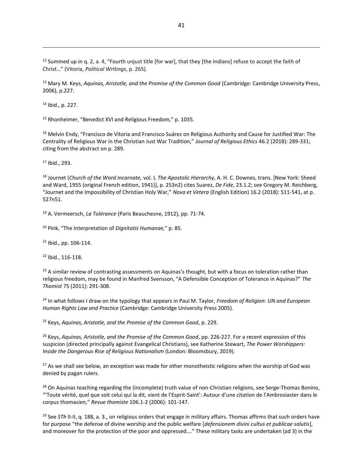<sup>12</sup> Summed up in q. 2, a. 4, "Fourth unjust title [for war], that they [the Indians] refuse to accept the faith of Christ…" (Vitoria, *Political Writings*, p. 265).

<sup>13</sup> Mary M. Keys, *Aquinas, Aristotle, and the Promise of the Common Good* (Cambridge: Cambridge University Press, 2006), p.227.

<sup>14</sup> Ibid., p. 227.

<sup>15</sup> Rhonheimer, "Benedict XVI and Religious Freedom," p. 1035.

<sup>16</sup> Melvin Endy, "Francisco de Vitoria and Francisco Suárez on Religious Authority and Cause for Justified War: The Centrality of Religious War in the Christian Just War Tradition," *Journal of Religious Ethics* 46.2 (2018): 289-331; citing from the abstract on p. 289.

<sup>17</sup> Ibid., 293.

<sup>18</sup> Journet (*Church of the Word Incarnate,* vol. I*, The Apostolic Hierarchy*, A. H. C. Downes, trans. [New York: Sheed and Ward, 1955 (original French edition, 1941)], p. 253n2) cites Suarez, *De Fide*, 23.1.2; see Gregory M. Reichberg, "Journet and the Impossibility of Christian Holy War," *Nova et Vetera* (English Edition) 16.2 (2018): 511-541, at p. 527n51.

<sup>19</sup> A. Vermeersch, *La Tolérance* (Paris Beauchesne, 1912), pp. 71-74.

<sup>20</sup> Pink, "The Interpretation of *Dignitatis Humanae,*" p. 85.

 $21$  Ibid., pp. 106-114.

<sup>22</sup> Ibid., 116-118.

 $23$  A similar review of contrasting assessments on Aquinas's thought, but with a focus on toleration rather than religious freedom, may be found in Manfred Svensson, "A Defensible Conception of Tolerance in Aquinas?" *The Thomist* 75 (2011): 291-308.

<sup>24</sup> In what follows I draw on the typology that appears in Paul M. Taylor, *Freedom of Religion: UN and European Human Rights Law and Practice* (Cambridge: Cambridge University Press 2005).

<sup>25</sup> Keys, *Aquinas, Aristotle, and the Promise of the Common Good*, p. 229.

<sup>26</sup> Keys, *Aquinas, Aristotle, and the Promise of the Common Good*, pp. 226-227. For a recent expression of this suspicion (directed principally against Evangelical Christians), see Katherine Stewart, *The Power Worshippers: Inside the Dangerous Rise of Religious Nationalism* (London: Bloomsbury, 2019).

 $27$  As we shall see below, an exception was made for other monotheistic religions when the worship of God was denied by pagan rulers.

<sup>28</sup> On Aquinas teaching regarding the (incomplete) truth value of non-Christian religions, see Serge-Thomas Bonino, "'Toute vérité, quel que soit celui qui la dit, vient de l'Esprit-Saint': Autour d'une citation de l'Ambrosiaster dans le corpus thomasien," *Revue thomiste* 106.1-2 (2006): 101-147.

<sup>29</sup> See *STh* II-II, q. 188, a. 3., on religious orders that engage in military affairs. Thomas affirms that such orders have for purpose "the defense of divine worship and the public welfare [*defensionem divini cultus et publicae salutis*], and moreover for the protection of the poor and oppressed…." These military tasks are undertaken (ad 3) in the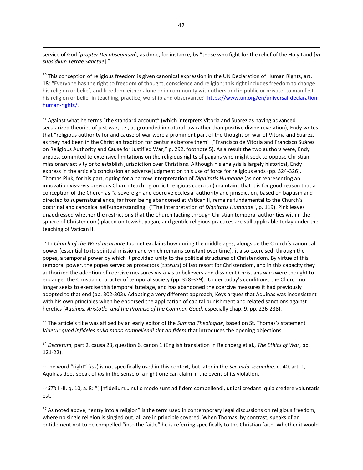service of God [*propter Dei obsequium*], as done, for instance, by "those who fight for the relief of the Holy Land [*in subsidium Terrae Sanctae*]."

<sup>30</sup> This conception of religious freedom is given canonical expression in the UN Declaration of Human Rights, art. 18: "Everyone has the right to freedom of thought, conscience and religion; this right includes freedom to change his religion or belief, and freedom, either alone or in community with others and in public or private, to manifest his religion or belief in teaching, practice, worship and observance:" [https://www.un.org/en/universal-declaration](https://www.un.org/en/universal-declaration-human-rights/)[human-rights/.](https://www.un.org/en/universal-declaration-human-rights/) 

<sup>31</sup> Against what he terms "the standard account" (which interprets Vitoria and Suarez as having advanced secularized theories of just war, i.e., as grounded in natural law rather than positive divine revelation), Endy writes that "religious authority for and cause of war were a prominent part of the thought on war of Vitoria and Suarez, as they had been in the Christian tradition for centuries before them" ("Francisco de Vitoria and Francisco Suárez on Religious Authority and Cause for Justified War," p. 292, footnote 5). As a result the two authors were, Endy argues, commited to extensive limitations on the religious rights of pagans who might seek to oppose Christian missionary activity or to establish jurisdiction over Christians. Although his analysis is largely historical, Endy express in the article's conclusion an adverse judgment on this use of force for religious ends (pp. 324-326). Thomas Pink, for his part, opting for a narrow interpretation of *Dignitatis Humanae* (as not representing an innovation vis-à-vis previous Church teaching on licit religious coercion) maintains that it is for good reason that a conception of the Church as "a sovereign and coercive ecclesial authority and jurisdiction, based on baptism and directed to supernatural ends, far from being abandoned at Vatican II, remains fundamental to the Church's doctrinal and canonical self-understanding" ("The Interpretation of *Dignitatis Humanae*", p. 119). Pink leaves unaddressed whether the restrictions that the Church (acting through Christian temporal authorities within the sphere of Christendom) placed on Jewish, pagan, and gentile religious practices are still applicable today under the teaching of Vatican II.

<sup>32</sup> In *Church of the Word Incarnate* Journet explains how during the middle ages, alongside the Church's canonical power (essential to its spiritual mission and which remains constant over time), it also exercised, through the popes, a temporal power by which it provided unity to the political structures of Christendom. By virtue of this temporal power, the popes served as protectors (*tuteurs*) of last resort for Christendom, and in this capacity they authorized the adoption of coercive measures vis-à-vis unbelievers and dissident Christians who were thought to endanger the Christian character of temporal society (pp. 328-329). Under today's conditions, the Church no longer seeks to exercise this temporal tutelage, and has abandoned the coercive measures it had previously adopted to that end (pp. 302-303). Adopting a very different approach, Keys argues that Aquinas was inconsistent with his own principles when he endorsed the application of capital punishment and related sanctions against heretics (*Aquinas, Aristotle, and the Promise of the Common Good*, especially chap. 9, pp. 226-238).

<sup>33</sup> The article's title was affixed by an early editor of the *Summa Theologiae*, based on St. Thomas's statement *Videtur quod infideles nullo modo compellendi sint ad fidem* that introduces the opening objections.

<sup>34</sup> *Decretum,* part 2, causa 23, question 6, canon 1 (English translation in Reichberg et al., *The Ethics of War*, pp. 121-22).

<sup>35</sup>The word "right" (*ius*) is not specifically used in this context, but later in the *Secunda-secundae,* q. 40, art. 1, Aquinas does speak of *ius* in the sense of a right one can claim in the event of its violation.

<sup>36</sup> *STh* II-II, q. 10, a. 8: "[I]nfidelium… nullo modo sunt ad fidem compellendi, ut ipsi credant: quia credere voluntatis est."

37 As noted above, "entry into a religion" is the term used in contemporary legal discussions on religious freedom, where no single religion is singled out; all are in principle covered. When Thomas, by contrast, speaks of an entitlement not to be compelled "into the faith," he is referring specifically to the Christian faith. Whether it would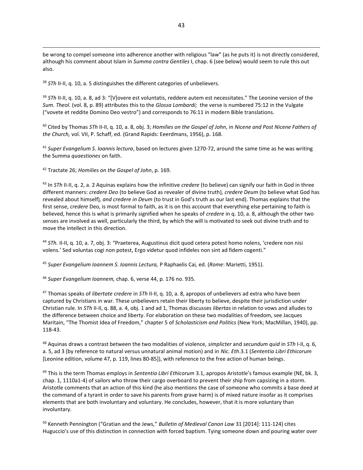be wrong to compel someone into adherence another with religious "law" (as he puts it) is not directly considered, although his comment about Islam in *Summa contra Gentiles* I, chap. 6 (see below) would seem to rule this out also.

<sup>38</sup> *STh* II-II, q. 10, a. 5 distinguishes the different categories of unbelievers.

<sup>39</sup> STh II-II, q. 10, a. 8, ad 3: "[V]overe est voluntatis, reddere autem est necessitates." The Leonine version of the *Sum. Theol.* (vol. 8, p. 89) attributes this to the *Glossa Lombardi;* the verse is numbered 75:12 in the Vulgate ("vovete et reddite Domino Deo vestro") and corresponds to 76:11 in modern Bible translations.

<sup>40</sup> Cited by Thomas *STh* II-II, q. 10, a. 8, obj. 3; *Homilies on the Gospel of John*, in *Nicene and Post Nicene Fathers of the Church,* vol. VII, P. Schaff, ed. (Grand Rapids: Eeerdmans, 1956), p. 168.

<sup>41</sup> *Super Evangelium S. Ioannis lectura*, based on lectures given 1270-72, around the same time as he was writing the Summa *quaestiones* on faith.

<sup>42</sup> Tractate 26; *Homilies on the Gospel of John*, p. 169.

<sup>43</sup> In *STh* II-II, q. 2, a. 2 Aquinas explains how the infinitive *credere* (to believe) can signify our faith in God in three different manners: *credere Deo* (to believe God as revealer of divine truth)*, credere Deum* (to believe what God has revealed about himself)*, and credere in Deum* (to trust in God's truth as our last end). Thomas explains that the first sense, *credere* Deo, is most formal to faith, as it is on this account that everything else pertaining to faith is believed, hence this is what is primarily signified when he speaks of *credere* in q. 10, a. 8, although the other two senses are involved as well, particularly the third, by which the will is motivated to seek out divine truth and to move the intellect in this direction.

<sup>44</sup> *STh.* II-II, q. 10, a. 7, obj. 3: "Praeterea, Augustinus dicit quod cetera potest homo nolens, 'credere non nisi volens*.*' Sed voluntas cogi non potest, Ergo videtur quod infideles non sint ad fidem cogenti."

<sup>45</sup> *Super Evangelium Ioannem S. Ioannis Lectura,* P Raphaelis Cai*,* ed. (*Rome*: Marietti, 1951).

<sup>46</sup> *Super Evangelium Ioannem,* chap. 6, verse 44, p. 176 no. 935.

<sup>47</sup> Thomas speaks of *libertate credere* in *STh* II-II, q. 10, a. 8, apropos of unbelievers ad extra who have been captured by Christians in war. These unbelievers retain their liberty to believe, despite their jurisdiction under Christian rule. In *STh* II-II, q. 88, a. 4, obj. 1 and ad 1, Thomas discusses *libertas* in relation to vows and alludes to the difference between choice and liberty. For elaboration on these two modalities of freedom, see Jacques Maritain, "The Thomist Idea of Freedom," chapter 5 of *Scholasticism and Politics* (New York; MacMillan, 1940), pp. 118-43.

<sup>48</sup> Aquinas draws a contrast between the two modalities of violence, *simplicter* and *secundum quid* in *STh* I-II, q. 6, a. 5, ad 3 (by reference to natural versus unnatural animal motion) and in *Nic. Eth*.3.1 (*Sententia Libri Ethicorum*  [Leonine edition, volume 47, p. 119, lines 80-85]), with reference to the free action of human beings.

<sup>49</sup> This is the term Thomas employs in *Sententia Libri Ethicorum* 3.1, apropos Aristotle's famous example (NE, bk. 3, chap. 1, 1110a1-4) of sailors who throw their cargo overboard to prevent their ship from capsizing in a storm. Aristotle comments that an action of this kind (he also mentions the case of someone who commits a base deed at the command of a tyrant in order to save his parents from grave harm) is of mixed nature insofar as it comprises elements that are both involuntary and voluntary. He concludes, however, that it is more voluntary than involuntary.

<sup>50</sup> Kenneth Pennington ("Gratian and the Jews," *Bulletin of Medieval Canon Law* 31 [2014]: 111-124) cites Huguccio's use of this distinction in connection with forced baptism. Tying someone down and pouring water over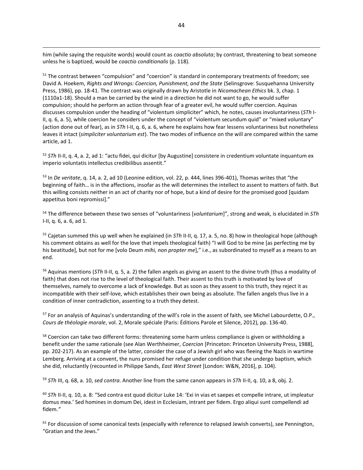him (while saying the requisite words) would count as *coactio absoluta*; by contrast, threatening to beat someone unless he is baptized, would be *coactio conditionalis* (p. 118).

<sup>51</sup> The contrast between "compulsion" and "coercion" is standard in contemporary treatments of freedom; see David A. Hoekem, *Rights and Wrongs: Coercion, Punishment, and the State* (Selinsgrove: Susquehanna University Press, 1986), pp. 18-41. The contrast was originally drawn by Aristotle in *Nicomachean Ethics* bk. 3, chap. 1 (1110a1-18). Should a man be carried by the wind in a direction he did not want to go, he would suffer compulsion; should he perform an action through fear of a greater evil, he would suffer coercion. Aquinas discusses compulsion under the heading of "violentum simpliciter" which, he notes, causes involuntariness (*STh* I-II, q. 6, a. 5), while coercion he considers under the concept of "violentum secundum quid" or "mixed voluntary" (action done out of fear), as in *STh* I-II, q. 6, a. 6, where he explains how fear lessens voluntariness but nonetheless leaves it intact (*simpliciter voluntarium est*). The two modes of influence on the will are compared within the same article, ad 1.

<sup>52</sup> *STh* II-II, q. 4, a. 2, ad 1: "actu fidei, qui dicitur [by Augustine] consistere in credentium voluntate inquantum ex imperio voluntatis intellectus credibilibus assentit."

<sup>53</sup> In *De veritate*, q. 14, a. 2, ad 10 (Leonine edition, vol. 22, p. 444, lines 396-401), Thomas writes that "the beginning of faith… is in the affections, insofar as the will determines the intellect to assent to matters of faith. But this willing consists neither in an act of charity nor of hope, but a kind of desire for the promised good [quidam appetitus boni repromissi]."

<sup>54</sup> The difference between these two senses of "voluntariness [*voluntarium*]", strong and weak, is elucidated in *STh*  I-II, q. 6, a. 6, ad 1.

<sup>55</sup> Cajetan summed this up well when he explained (in *STh* II-II, q. 17, a. 5, no. 8) how in theological hope (although his comment obtains as well for the love that impels theological faith) "I will God to be mine [as perfecting me by his beatitude], but not for me [volo Deum *mihi, non propter me*]," i.e., as subordinated to myself as a means to an end.

<sup>56</sup> Aquinas mentions (*STh* II-II, q. 5, a. 2) the fallen angels as giving an assent to the divine truth (thus a modality of faith) that does not rise to the level of theological faith. Their assent to this truth is motivated by love of themselves, namely to overcome a lack of knowledge. But as soon as they assent to this truth, they reject it as incompatible with their self-love, which establishes their own being as absolute. The fallen angels thus live in a condition of inner contradiction, assenting to a truth they detest.

<sup>57</sup> For an analysis of Aquinas's understanding of the will's role in the assent of faith, see Michel Labourdette, O.P., *Cours de théologie morale*, vol. 2, Morale spéciale (Paris: Éditions Parole et Silence, 2012), pp. 136-40.

<sup>58</sup> Coercion can take two different forms: threatening some harm unless compliance is given or withholding a benefit under the same rationale (see Alan Werthheimer, *Coercion* [Princeton: Princeton University Press, 1988], pp. 202-217). As an example of the latter, consider the case of a Jewish girl who was fleeing the Nazis in wartime Lemberg. Arriving at a convent, the nuns promised her refuge under condition that she undergo baptism, which she did, reluctantly (recounted in Philippe Sands, *East West Street* [London: W&N, 2016], p. 104).

<sup>59</sup> *STh* III, q. 68, a. 10, *sed contra*. Another line from the same canon appears in *STh* II-II, q. 10, a 8, obj. 2.

<sup>60</sup> STh II-II, q. 10, a. 8: "Sed contra est quod dicitur Luke 14: 'Exi in vias et saepes et compelle intrare, ut impleatur domus mea.' Sed homines in domum Dei, idest in Ecclesiam, intrant per fidem. Ergo aliqui sunt compellendi ad fidem.*"*

<sup>61</sup> For discussion of some canonical texts (especially with reference to relapsed Jewish converts), see Pennington, "Gratian and the Jews."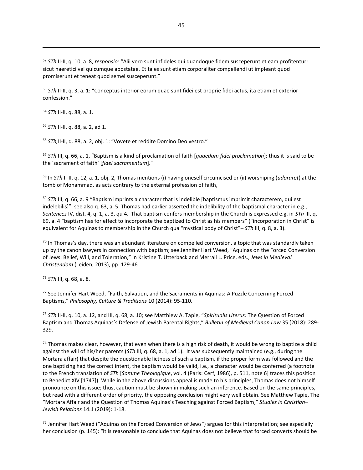<sup>62</sup> *STh* II-II, q. 10, a. 8, *responsio*: "Alii vero sunt infideles qui quandoque fidem susceperunt et eam profitentur: sicut haeretici vel quicumque apostatae. Et tales sunt etiam corporaliter compellendi ut impleant quod promiserunt et teneat quod semel susceperunt."

<sup>63</sup> *STh* II-II, q. 3, a. 1: "Conceptus interior eorum quae sunt fidei est proprie fidei actus, ita etiam et exterior confession."

<sup>64</sup> *STh* II-II, q. 88, a. 1.

<sup>65</sup> *STh* II-II, q. 88, a. 2, ad 1.

<sup>66</sup> STh, II-II, q. 88, a. 2, obj. 1: "Vovete et reddite Domino Deo vestro."

<sup>67</sup> *STh* III, q. 66, a. 1, "Baptism is a kind of proclamation of faith [*quaedam fidei proclamation*]; thus it is said to be the 'sacrament of faith' [*fidei sacramentum*]."

<sup>68</sup> In *STh* II-II, q. 12, a. 1, obj. 2, Thomas mentions (i) having oneself circumcised or (ii) worshiping (*adoraret*) at the tomb of Mohammad, as acts contrary to the external profession of faith,

<sup>69</sup> STh III, q. 66, a. 9 "Baptism imprints a character that is indelible [baptismus imprimit characterem, qui est indelebilis]"; see also q. 63, a. 5. Thomas had earlier asserted the indelibility of the baptismal character in e.g., *Sentences* IV, dist. 4, q. 1, a. 3, qu 4. That baptism confers membership in the Church is expressed e.g. in *STh* III, q. 69, a. 4 "baptism has for effect to incorporate the baptized to Christ as his members" ("incorporation in Christ" is equivalent for Aquinas to membership in the Church qua "mystical body of Christ"– *STh* III, q. 8, a. 3).

 $70$  In Thomas's day, there was an abundant literature on compelled conversion, a topic that was standardly taken up by the canon lawyers in connection with baptism; see Jennifer Hart Weed, "Aquinas on the Forced Conversion of Jews: Belief, Will, and Toleration," in [Kristine T. Utterback](https://brill.com/search?f_0=author&q_0=Kristine+T.+Utterback) and [Merrall L. Price,](https://brill.com/search?f_0=author&q_0=Merrall+L.+Price) eds., *Jews in Medieval Christendom* (Leiden, 2013), pp. 129-46.

<sup>71</sup> *STh* III, q. 68, a. 8.

 $72$  See Jennifer Hart Weed, "Faith, Salvation, and the Sacraments in Aquinas: A Puzzle Concerning Forced Baptisms," *Philosophy, Culture & Traditions* 10 (2014): 95-110.

<sup>73</sup> *STh* II-II, q. 10, a. 12, and III, q. 68, a. 10; see Matthiew A. Tapie, "*Spiritualis Uterus:* The Question of Forced Baptism and Thomas Aquinas's Defense of Jewish Parental Rights," *Bulletin of Medieval Canon Law* 35 (2018): 289- 329.

 $74$  Thomas makes clear, however, that even when there is a high risk of death, it would be wrong to baptize a child against the will of his/her parents (*STh* III, q. 68, a. 1, ad 1). It was subsequently maintained (e.g., during the Mortara affair) that despite the questionable lictness of such a baptism, if the proper form was followed and the one baptizing had the correct intent, the baptism would be valid, i.e., a character would be conferred (a footnote to the French translation of *STh* [*Somme Théologique*, vol. 4 (Paris: Cerf, 1986), p. 511, note 6] traces this position to Benedict XIV [1747]). While in the above discussions appeal is made to his principles, Thomas does not himself pronounce on this issue; thus, caution must be shown in making such an inference. Based on the same principles, but read with a different order of priority, the opposing conclusion might very well obtain. See Matthew Tapie, The "Mortara Affair and the Question of Thomas Aquinas's Teaching against Forced Baptism," *Studies in Christian– Jewish Relations* 14.1 (2019): 1-18.

<sup>75</sup> Jennifer Hart Weed ("Aquinas on the Forced Conversion of Jews") argues for this interpretation; see especially her conclusion (p. 145): "it is reasonable to conclude that Aquinas does not believe that forced converts should be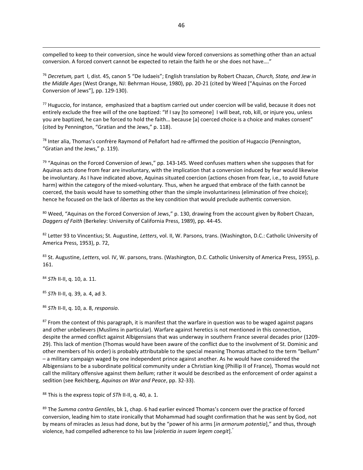compelled to keep to their conversion, since he would view forced conversions as something other than an actual conversion. A forced convert cannot be expected to retain the faith he or she does not have…."

<sup>76</sup> *Decretum,* part I, dist. 45, canon 5 "De Iudaeis"; English translation by Robert Chazan, *Church, State, and Jew in the Middle Ages* (West Orange, NJ: Behrman House, 1980), pp. 20-21 (cited by Weed ["Aquinas on the Forced Conversion of Jews"], pp. 129-130).

 $77$  Huguccio, for instance, emphasized that a baptism carried out under coercion will be valid, because it does not entirely exclude the free will of the one baptized: "If I say [to someone] I will beat, rob, kill, or injure you, unless you are baptized, he can be forced to hold the faith… because [a] coerced choice is a choice and makes consent" (cited by Pennington, "Gratian and the Jews," p. 118).

 $^{78}$  Inter alia, Thomas's confrère Raymond of Peñafort had re-affirmed the position of Hugaccio (Pennington, "Gratian and the Jews," p. 119).

 $79$  "Aquinas on the Forced Conversion of Jews," pp. 143-145. Weed confuses matters when she supposes that for Aquinas acts done from fear are involuntary, with the implication that a conversion induced by fear would likewise be involuntary. As I have indicated above, Aquinas situated coercion (actions chosen from fear, i.e., to avoid future harm) within the category of the mixed-voluntary. Thus, when he argued that embrace of the faith cannot be coerced, the basis would have to something other than the simple involuntariness (elimination of free choice); hence he focused on the lack of *libertas* as the key condition that would preclude authentic conversion.

<sup>80</sup> Weed, "Aquinas on the Forced Conversion of Jews," p. 130, drawing from the account given by Robert Chazan, *Daggers of Faith* (Berkeley: University of California Press, 1989), pp. 44-45.

<sup>82</sup> Letter 93 to Vincentius; St. Augustine, *Letters*, vol. II, W. Parsons, trans. (Washington, D.C.: Catholic University of America Press, 1953), p. 72,

<sup>83</sup> St. Augustine, *Letters*, vol. IV, W. parsons, trans. (Washington, D.C. Catholic University of America Press, 1955), p. 161.

<sup>84</sup> *STh* II-II, q. 10, a. 11.

<sup>85</sup> *STh* II-II, q. 39, a. 4, ad 3.

<sup>86</sup> *STh* II-II, q. 10, a. 8, *responsio*.

 $87$  From the context of this paragraph, it is manifest that the warfare in question was to be waged against pagans and other unbelievers (Muslims in particular). Warfare against heretics is not mentioned in this connection, despite the armed conflict against Albigensians that was underway in southern France several decades prior (1209- 29). This lack of mention (Thomas would have been aware of the conflict due to the involvment of St. Dominic and other members of his order) is probably attributable to the special meaning Thomas attached to the term "bellum" – a military campaign waged by one independent prince against another. As he would have considered the Albigensians to be a subordinate political community under a Christian king (Phillip II of France), Thomas would not call the military offensive against them *bellum*; rather it would be described as the enforcement of order against a sedition (see Reichberg, *Aquinas on War and Peace*, pp. 32-33).

<sup>88</sup> This is the express topic of *STh* II-II, q. 40, a. 1.

<sup>89</sup> The *Summa contra Gentiles*, bk 1, chap. 6 had earlier evinced Thomas's concern over the practice of forced conversion, leading him to state ironically that Mohammad had sought confirmation that he was sent by God, not by means of miracles as Jesus had done, but by the "power of his arms [*in armorum potentia*]," and thus, through violence, had compelled adherence to his law [*violentia in suam legem coegit*]."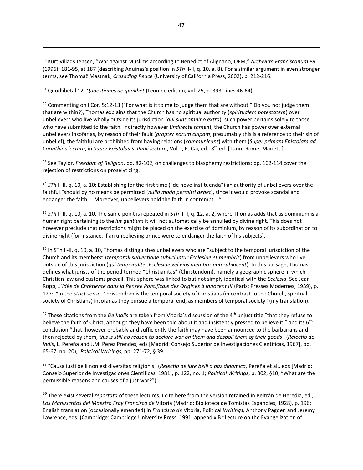<sup>90</sup> Kurt Villads Jensen, "War against Muslims according to Benedict of Alignano, OFM," *Archivum Franciscanum* 89 (1996): 181-95, at 187 (describing Aquinas's position in *STh* II-II, q. 10, a. 8). For a similar argument in even stronger terms, see Thomaž Mastnak, *Crusading Peace* (University of California Press, 2002), p. 212-216.

<sup>91</sup> Quodlibetal 12, *Quaestiones de quolibet* (Leonine edition, vol. 25, p. 393, lines 46-64).

 $92$  Commenting on I Cor. 5:12-13 ("For what is it to me to judge them that are without." Do you not judge them that are within?), Thomas explains that the Church has no spiritual authority (*spiritualem potestatem*) over unbelievers who live wholly outside its jurisdiction (*qui sunt omnino extra*); such power pertains solely to those who have submitted to the faith. Indirectly however (*indirecte tamen*), the Church has power over external unbelievers insofar as, by reason of their fault (*propter eorum culpam*, presumably this is a reference to their sin of unbelief), the faithful are prohibited from having relations (*communicant*) with them (*Super primam Epistolam ad Corinthios lectura*, in *Super Epistolas S. Pauli lectura*, Vol. I, R. Cai, ed., 8th ed. [Turin–Rome: Marietti].

<sup>93</sup> See Taylor, *Freedom of Religion*, pp. 82-102, on challenges to blasphemy restrictions; pp. 102-114 cover the rejection of restrictions on proselytizing.

94 *STh* II-II, q. 10, a. 10: Establishing for the first time ("de novo instituenda") an authority of unbelievers over the faithful "should by no means be permitted [*nullo modo permitti debet*], since it would provoke scandal and endanger the faith…. Moreover, unbelievers hold the faith in contempt…."

<sup>95</sup> *STh* II-II, q. 10, a. 10. The same point is repeated in *STh* II-II, q. 12, a. 2, where Thomas adds that as dominium is a human right pertaining to the *ius gentium* it will not automatically be annulled by divine right. This does not however preclude that restrictions might be placed on the exercise of dominium, by reason of its subordination to divine right (for instance, if an unbelieving prince were to endanger the faith of his subjects).

96 In STh II-II, q. 10, a. 10, Thomas distinguishes unbelievers who are "subject to the temporal jurisdiction of the Church and its members" (*temporali subiectione subiiciuntur Ecclesiae et membris*) from unbelievers who live outside of this jurisdiction (*qui temporaliter Ecclesiae vel eius membris non subiacent*). In this passage, Thomas defines what jurists of the period termed "Christianitas" (Christendom), namely a geographic sphere in which Christian law and customs prevail. This sphere was linked to but not simply identical with the *Ecclesia*. See Jean Ropp, L'Idée de Chrétienté dans la Pensée Pontificale des Origines à Innocent III (Paris: Presses Modernes, 1939), p. 127: "In the *strict sense*, Christendom is the temporal society of Christians (in contrast to the Church, spiritual society of Christians) insofar as they pursue a temporal end, as members of temporal society" (my translation).

<sup>97</sup> These citations from the *De Indiis* are taken from Vitoria's discussion of the 4th unjust title "that they refuse to believe the faith of Christ, although they have been told about it and insistently pressed to believe it," and its  $6<sup>th</sup>$ conclusion "that, however probably and sufficiently the faith may have been announced to the barbarians and then rejected by them, *this is still no reason to declare war on them and despoil them of their goods*" (*Relectio de Indis*, L. Pereña and J.M. Perez Prendes, eds [Madrid: Consejo Superior de Investigaciones Cientificas, 1967], pp. 65-67, no. 20); *Political Writings,* pp. 271-72, § 39.

<sup>98</sup> "Causa iusti belli non est diversitas religionis" (*Relectio de iure belli o paz dinamica*, Pereña et al., eds [Madrid: Consejo Superior de Investigaciones Cientificas, 1981], p. 122, no. 1; *Political Writings*, p. 302, §10; "What are the permissible reasons and causes of a just war?").

<sup>99</sup> There exist several *reportata* of these lectures; I cite here from the version retained in Beltrán de Heredia, ed., *Los Manuscritos del Maestro Fray Francisco de* Vitoria (Madrid: Biblioteca de Tomistas Espanoles, 1928), p. 196; English translation (occasionally emended) in *Francisco de* Vitoria, Political *Writings,* Anthony Pagden and Jeremy Lawrence, eds. (Cambridge: Cambridge University Press, 1991, appendix B "Lecture on the Evangelization of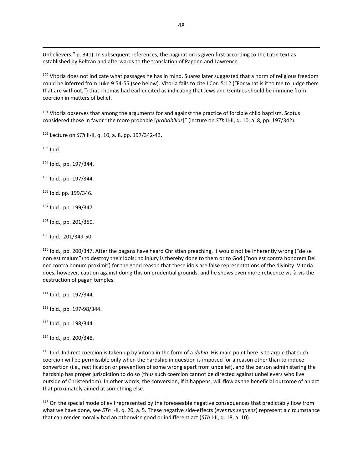Unbelievers," p. 341). In subsequent references, the pagination is given first according to the Latin text as established by Beltrán and afterwards to the translation of Pagden and Lawrence.

100 Vitoria does not indicate what passages he has in mind. Suarez later suggested that a norm of religious freedom could be inferred from Luke 9:54-55 (see below). Vitoria fails to cite I Cor. 5:12 ("For what is it to me to judge them that are without,") that Thomas had earlier cited as indicating that Jews and Gentiles should be immune from coercion in matters of belief.

<sup>101</sup> Vitoria observes that among the arguments for and against the practice of forcible child baptism, Scotus considered those in favor "the more probable [*probabilius*]" (lecture on *STh* II-II, q. 10, a. 8, pp. 197/342).

<sup>102</sup> Lecture on *STh* II-II, q. 10, a. 8, pp. 197/342-43.

 $103$  Ibid.

<sup>104</sup> Ibid., pp. 197/344.

<sup>105</sup> Ibid., pp. 197/344.

<sup>106</sup> Ibid. pp. 199/346.

<sup>107</sup> Ibid., pp. 199/347.

<sup>108</sup> Ibid., pp. 201/350.

<sup>109</sup> Ibid., 201/349-50.

<sup>110</sup> Ibid., pp. 200/347. After the pagans have heard Christian preaching, it would not be inherently wrong ("de se non est malum") to destroy their idols; no injury is thereby done to them or to God ("non est contra honorem Dei nec contra bonum proximi") for the good reason that these idols are false representations of the divinity. Vitoria does, however, caution against doing this on prudential grounds, and he shows even more reticence vis-à-vis the destruction of pagan temples.

<sup>111</sup> Ibid., pp. 197/344.

<sup>112</sup> Ibid., pp. 197-98/344.

<sup>113</sup> Ibid., pp. 198/344.

<sup>114</sup> Ibid., pp. 200/348.

<sup>115</sup> Ibid. Indirect coercion is taken up by Vitoria in the form of a *dubia*. His main point here is to argue that such coercion will be permissible only when the hardship in question is imposed for a reason other than to induce convertion (i.e., rectification or prevention of some wrong apart from unbelief), and the person administering the hardship has proper jurisdiction to do so (thus such coercion cannot be directed against unbelievers who live outside of Christendom). In other words, the conversion, if it happens, will flow as the beneficial outcome of an act that proximately aimed at something else.

<sup>116</sup> On the special mode of evil represented by the foreseeable negative consequences that predictably flow from what we have done, see *STh* I-II, q. 20, a. 5. These negative side-effects (*eventus sequens*) represent a circumstance that can render morally bad an otherwise good or indifferent act (*STh* I-II, q. 18, a. 10).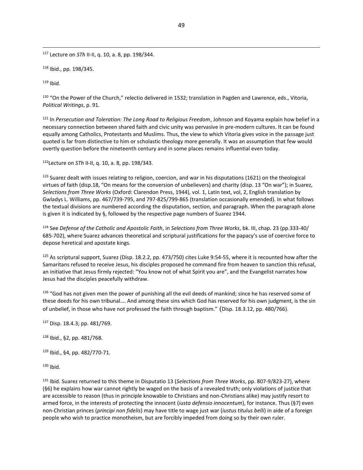<sup>117</sup> Lecture on *STh* II-II, q. 10, a. 8, pp. 198/344.

<sup>118</sup> Ibid., pp. 198/345.

 $119$  Ibid.

<sup>120</sup> "On the Power of the Church," relectio delivered in 1532; translation in Pagden and Lawrence, eds., Vitoria, *Political Writings*, p. 91.

<sup>121</sup> In *Persecution and Toleration: The Long Road to Religious Freedom*, Johnson and Koyama explain how belief in a necessary connection between shared faith and civic unity was pervasive in pre-modern cultures. It can be found equally among Catholics, Protestants and Muslims. Thus, the view to which Vitoria gives voice in the passage just quoted is far from distinctive to him or scholastic theology more generally. It was an assumption that few would overtly question before the nineteenth century and in some places remains influential even today.

<sup>122</sup>Lecture on *STh* II-II, q. 10, a. 8, pp. 198/343.

 $123$  Suarez dealt with issues relating to religion, coercion, and war in his disputations (1621) on the theological virtues of faith (disp.18, "On means for the conversion of unbelievers) and charity (disp. 13 "On war"); in Suarez, *Selections from Three Works* (Oxford: Clarendon Press, 1944), vol. 1, Latin text, vol, 2, English translation by Gwladys L. Williams, pp. 467/739-795, and 797-825/799-865 (translation occasionally emended). In what follows the textual divisions are numbered according the disputation, section, and paragraph. When the paragraph alone is given it is indicated by §, followed by the respective page numbers of Suarez 1944.

<sup>124</sup> See *Defense of the Catholic and Apostolic Faith*, in *Selections from Three Works*, bk. III, chap. 23 (pp.333-40/ 685-702), where Suarez advances theoretical and scriptural justifications for the papacy's use of coercive force to depose heretical and apostate kings.

<sup>125</sup> As scriptural support, Suarez (Disp. 18.2.2, pp. 473/750) cites Luke 9:54-55, where it is recounted how after the Samaritans refused to receive Jesus, his disciples proposed he command fire from heaven to sanction this refusal, an initiative that Jesus firmly rejected: "You know not of what Spirit you are", and the Evangelist narrates how Jesus had the disciples peacefully withdraw.

126 "God has not given men the power of punishing all the evil deeds of mankind; since he has reserved some of these deeds for his own tribunal…. And among these sins which God has reserved for his own judgment, is the sin of unbelief, in those who have not professed the faith through baptism." (Disp. 18.3.12, pp. 480/766).

<sup>127</sup> Disp. 18.4.3; pp. 481/769.

<sup>128</sup> Ibid., §2, pp. 481/768.

<sup>129</sup> Ibid., §4, pp. 482/770-71.

 $130$  Ibid.

<sup>131</sup> Ibid. Suarez returned to this theme in Disputatio 13 (*Selections from Three Works*, pp. 807-9/823-27), where (§6) he explains how war cannot rightly be waged on the basis of a revealed truth; only violations of justice that are accessible to reason (thus in principle knowable to Christians and non-Christians alike) may justify resort to armed force, in the interests of protecting the innocent (*iusta defensio innocentum*), for instance. Thus (§7) even non-Christian princes (*principi non fidelis*) may have title to wage just war (*iustus titulus belli*) in aide of a foreign people who wish to practice monotheism, but are forcibly impeded from doing so by their own ruler.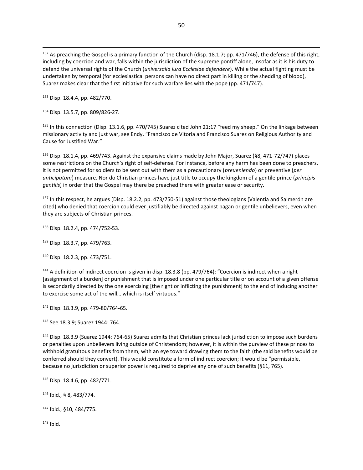132 As preaching the Gospel is a primary function of the Church (disp. 18.1.7; pp. 471/746), the defense of this right, including by coercion and war, falls within the jurisdiction of the supreme pontiff alone, insofar as it is his duty to defend the universal rights of the Church (*universalia iura Ecclesiae defendere*). While the actual fighting must be undertaken by temporal (for ecclesiastical persons can have no direct part in killing or the shedding of blood), Suarez makes clear that the first initiative for such warfare lies with the pope (pp. 471/747).

<sup>133</sup> Disp. 18.4.4, pp. 482/770.

<sup>134</sup> Disp. 13.5.7, pp. 809/826-27.

<sup>135</sup> In this connection (Disp. 13.1.6, pp. 470/745) Suarez cited John 21:17 "feed my sheep." On the linkage between missionary activity and just war, see Endy, "Francisco de Vitoria and Francisco Suarez on Religious Authority and Cause for Justified War."

<sup>136</sup> Disp. 18.1.4, pp. 469/743. Against the expansive claims made by John Major, Suarez (§8, 471-72/747) places some restrictions on the Church's right of self-defense. For instance, before any harm has been done to preachers, it is not permitted for soldiers to be sent out with them as a precautionary (*preueniendo*) or preventive (*per anticipatam*) measure. Nor do Christian princes have just title to occupy the kingdom of a gentile prince (*principis gentilis*) in order that the Gospel may there be preached there with greater ease or security.

<sup>137</sup> In this respect, he argues (Disp. 18.2.2, pp. 473/750-51) against those theologians (Valentia and Salmerón are cited) who denied that coercion could ever justifiably be directed against pagan or gentile unbelievers, even when they are subjects of Christian princes.

<sup>138</sup> Disp. 18.2.4, pp. 474/752-53.

<sup>139</sup> Disp. 18.3.7, pp. 479/763.

<sup>140</sup> Disp. 18.2.3, pp. 473/751.

 $141$  A definition of indirect coercion is given in disp. 18.3.8 (pp. 479/764): "Coercion is indirect when a right [assignment of a burden] or punishment that is imposed under one particular title or on account of a given offense is secondarily directed by the one exercising [the right or inflicting the punishment] to the end of inducing another to exercise some act of the will… which is itself virtuous."

<sup>142</sup> Disp. 18.3.9, pp. 479-80/764-65.

<sup>143</sup> See 18.3.9; Suarez 1944: 764.

<sup>144</sup> Disp. 18.3.9 (Suarez 1944: 764-65) Suarez admits that Christian princes lack jurisdiction to impose such burdens or penalties upon unbelievers living outside of Christendom; however, it is within the purview of these princes to withhold gratuitous benefits from them, with an eye toward drawing them to the faith (the said benefits would be conferred should they convert). This would constitute a form of indirect coercion; it would be "permissible, because no jurisdiction or superior power is required to deprive any one of such benefits (§11, 765).

<sup>145</sup> Disp. 18.4.6, pp. 482/771.

<sup>146</sup> Ibid., § 8, 483/774.

<sup>147</sup> Ibid., §10, 484/775.

 $148$  Ibid.